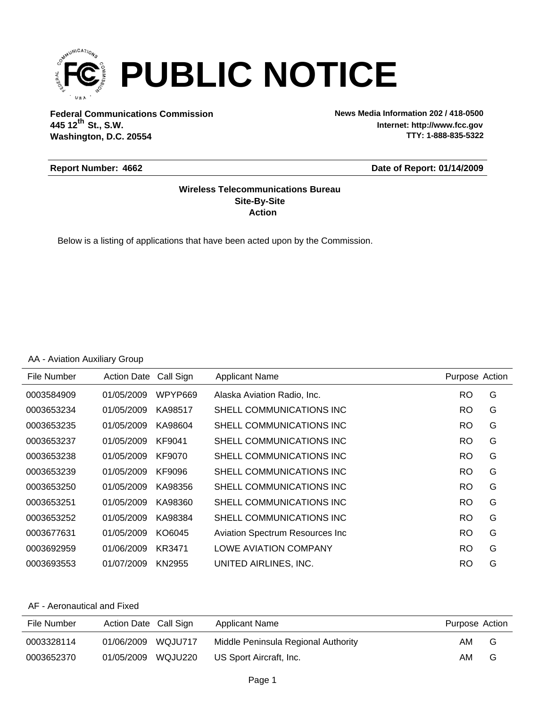

**Federal Communications Commission News Media Information 202 / 418-0500 Washington, D.C. 20554 th 445 12 St., S.W.**

**Internet: http://www.fcc.gov TTY: 1-888-835-5322**

#### **Report Number: 4662**

#### **Date of Report: 01/14/2009**

### **Action Site-By-Site Wireless Telecommunications Bureau**

Below is a listing of applications that have been acted upon by the Commission.

### AA - Aviation Auxiliary Group

| File Number | <b>Action Date</b> | Call Sign | Applicant Name                  | Purpose Action |   |
|-------------|--------------------|-----------|---------------------------------|----------------|---|
| 0003584909  | 01/05/2009         | WPYP669   | Alaska Aviation Radio, Inc.     | <b>RO</b>      | G |
| 0003653234  | 01/05/2009         | KA98517   | SHELL COMMUNICATIONS INC        | <b>RO</b>      | G |
| 0003653235  | 01/05/2009         | KA98604   | SHELL COMMUNICATIONS INC        | <b>RO</b>      | G |
| 0003653237  | 01/05/2009         | KF9041    | SHELL COMMUNICATIONS INC        | RO             | G |
| 0003653238  | 01/05/2009         | KF9070    | SHELL COMMUNICATIONS INC        | <b>RO</b>      | G |
| 0003653239  | 01/05/2009         | KF9096    | SHELL COMMUNICATIONS INC.       | <b>RO</b>      | G |
| 0003653250  | 01/05/2009         | KA98356   | SHELL COMMUNICATIONS INC.       | <b>RO</b>      | G |
| 0003653251  | 01/05/2009         | KA98360   | SHELL COMMUNICATIONS INC        | <b>RO</b>      | G |
| 0003653252  | 01/05/2009         | KA98384   | SHELL COMMUNICATIONS INC        | <b>RO</b>      | G |
| 0003677631  | 01/05/2009         | KO6045    | Aviation Spectrum Resources Inc | <b>RO</b>      | G |
| 0003692959  | 01/06/2009         | KR3471    | <b>LOWE AVIATION COMPANY</b>    | <b>RO</b>      | G |
| 0003693553  | 01/07/2009         | KN2955    | UNITED AIRLINES. INC.           | <b>RO</b>      | G |

| File Number | Action Date Call Sign |         | <b>Applicant Name</b>               | Purpose Action |   |
|-------------|-----------------------|---------|-------------------------------------|----------------|---|
| 0003328114  | 01/06/2009            | WQJU717 | Middle Peninsula Regional Authority | AM.            | G |
| 0003652370  | 01/05/2009            | WQJU220 | US Sport Aircraft, Inc.             | AM.            | G |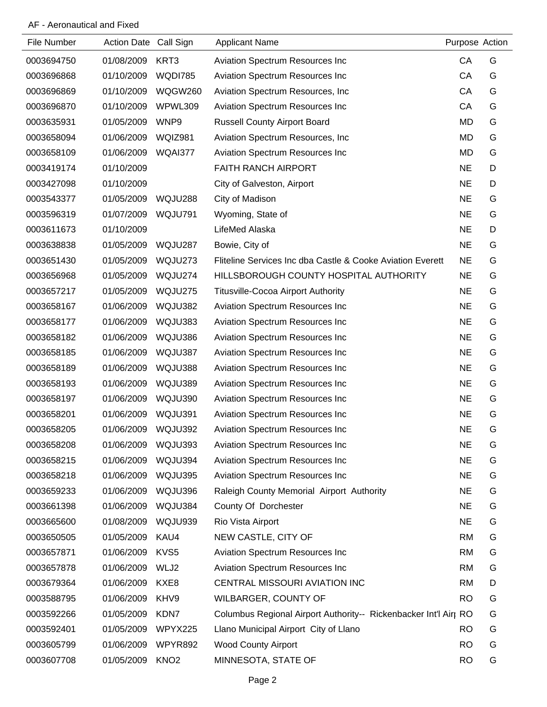| File Number | <b>Action Date</b> | Call Sign        | <b>Applicant Name</b>                                            | Purpose Action |   |
|-------------|--------------------|------------------|------------------------------------------------------------------|----------------|---|
| 0003694750  | 01/08/2009         | KRT3             | Aviation Spectrum Resources Inc                                  | CA             | G |
| 0003696868  | 01/10/2009         | <b>WQDI785</b>   | Aviation Spectrum Resources Inc                                  | CA             | G |
| 0003696869  | 01/10/2009         | WQGW260          | Aviation Spectrum Resources, Inc.                                | CA             | G |
| 0003696870  | 01/10/2009         | WPWL309          | Aviation Spectrum Resources Inc                                  | CA             | G |
| 0003635931  | 01/05/2009         | WNP9             | <b>Russell County Airport Board</b>                              | <b>MD</b>      | G |
| 0003658094  | 01/06/2009         | WQIZ981          | Aviation Spectrum Resources, Inc.                                | <b>MD</b>      | G |
| 0003658109  | 01/06/2009         | WQAI377          | Aviation Spectrum Resources Inc                                  | <b>MD</b>      | G |
| 0003419174  | 01/10/2009         |                  | FAITH RANCH AIRPORT                                              | <b>NE</b>      | D |
| 0003427098  | 01/10/2009         |                  | City of Galveston, Airport                                       | <b>NE</b>      | D |
| 0003543377  | 01/05/2009         | WQJU288          | City of Madison                                                  | <b>NE</b>      | G |
| 0003596319  | 01/07/2009         | WQJU791          | Wyoming, State of                                                | <b>NE</b>      | G |
| 0003611673  | 01/10/2009         |                  | LifeMed Alaska                                                   | <b>NE</b>      | D |
| 0003638838  | 01/05/2009         | WQJU287          | Bowie, City of                                                   | <b>NE</b>      | G |
| 0003651430  | 01/05/2009         | WQJU273          | Fliteline Services Inc dba Castle & Cooke Aviation Everett       | <b>NE</b>      | G |
| 0003656968  | 01/05/2009         | WQJU274          | HILLSBOROUGH COUNTY HOSPITAL AUTHORITY                           | <b>NE</b>      | G |
| 0003657217  | 01/05/2009         | WQJU275          | <b>Titusville-Cocoa Airport Authority</b>                        | <b>NE</b>      | G |
| 0003658167  | 01/06/2009         | WQJU382          | Aviation Spectrum Resources Inc                                  | <b>NE</b>      | G |
| 0003658177  | 01/06/2009         | WQJU383          | <b>Aviation Spectrum Resources Inc</b>                           | <b>NE</b>      | G |
| 0003658182  | 01/06/2009         | WQJU386          | <b>Aviation Spectrum Resources Inc</b>                           | <b>NE</b>      | G |
| 0003658185  | 01/06/2009         | WQJU387          | Aviation Spectrum Resources Inc                                  | <b>NE</b>      | G |
| 0003658189  | 01/06/2009         | WQJU388          | Aviation Spectrum Resources Inc                                  | <b>NE</b>      | G |
| 0003658193  | 01/06/2009         | WQJU389          | <b>Aviation Spectrum Resources Inc</b>                           | <b>NE</b>      | G |
| 0003658197  | 01/06/2009         | WQJU390          | Aviation Spectrum Resources Inc                                  | <b>NE</b>      | G |
| 0003658201  | 01/06/2009         | WQJU391          | <b>Aviation Spectrum Resources Inc.</b>                          | <b>NE</b>      | G |
| 0003658205  | 01/06/2009 WQJU392 |                  | Aviation Spectrum Resources Inc                                  | <b>NE</b>      | G |
| 0003658208  | 01/06/2009         | WQJU393          | <b>Aviation Spectrum Resources Inc</b>                           | <b>NE</b>      | G |
| 0003658215  | 01/06/2009         | WQJU394          | <b>Aviation Spectrum Resources Inc</b>                           | <b>NE</b>      | G |
| 0003658218  | 01/06/2009         | WQJU395          | Aviation Spectrum Resources Inc                                  | <b>NE</b>      | G |
| 0003659233  | 01/06/2009         | WQJU396          | Raleigh County Memorial Airport Authority                        | <b>NE</b>      | G |
| 0003661398  | 01/06/2009         | WQJU384          | County Of Dorchester                                             | <b>NE</b>      | G |
| 0003665600  | 01/08/2009         | WQJU939          | Rio Vista Airport                                                | <b>NE</b>      | G |
| 0003650505  | 01/05/2009         | KAU4             | NEW CASTLE, CITY OF                                              | <b>RM</b>      | G |
| 0003657871  | 01/06/2009         | KVS5             | Aviation Spectrum Resources Inc                                  | <b>RM</b>      | G |
| 0003657878  | 01/06/2009         | WLJ2             | Aviation Spectrum Resources Inc                                  | <b>RM</b>      | G |
| 0003679364  | 01/06/2009         | KXE8             | CENTRAL MISSOURI AVIATION INC                                    | <b>RM</b>      | D |
| 0003588795  | 01/06/2009         | KHV9             | WILBARGER, COUNTY OF                                             | <b>RO</b>      | G |
| 0003592266  | 01/05/2009         | KDN7             | Columbus Regional Airport Authority-- Rickenbacker Int'l Airt RO |                | G |
| 0003592401  | 01/05/2009         | WPYX225          | Llano Municipal Airport City of Llano                            | <b>RO</b>      | G |
| 0003605799  | 01/06/2009         | WPYR892          | <b>Wood County Airport</b>                                       | <b>RO</b>      | G |
| 0003607708  | 01/05/2009         | KNO <sub>2</sub> | MINNESOTA, STATE OF                                              | <b>RO</b>      | G |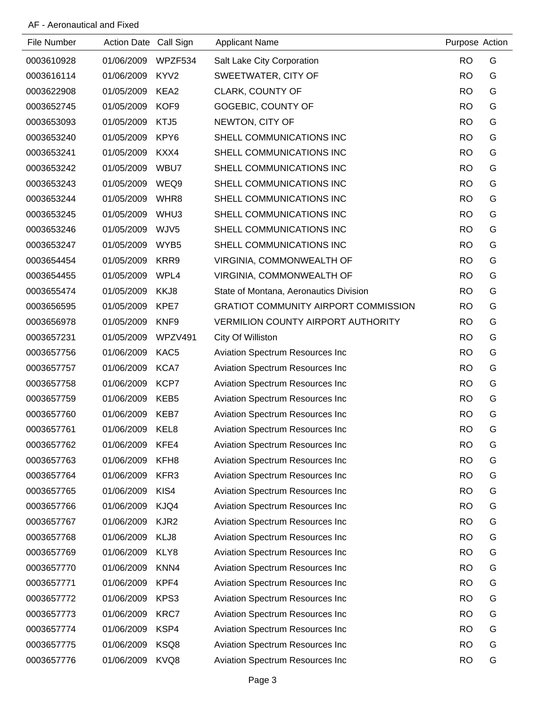| File Number | Action Date Call Sign |                  | <b>Applicant Name</b>                       | Purpose Action |   |
|-------------|-----------------------|------------------|---------------------------------------------|----------------|---|
| 0003610928  | 01/06/2009            | WPZF534          | Salt Lake City Corporation                  | <b>RO</b>      | G |
| 0003616114  | 01/06/2009            | KYV <sub>2</sub> | SWEETWATER, CITY OF                         | <b>RO</b>      | G |
| 0003622908  | 01/05/2009            | KEA2             | CLARK, COUNTY OF                            | <b>RO</b>      | G |
| 0003652745  | 01/05/2009            | KOF9             | GOGEBIC, COUNTY OF                          | <b>RO</b>      | G |
| 0003653093  | 01/05/2009            | KTJ5             | NEWTON, CITY OF                             | <b>RO</b>      | G |
| 0003653240  | 01/05/2009            | KPY6             | SHELL COMMUNICATIONS INC                    | <b>RO</b>      | G |
| 0003653241  | 01/05/2009            | KXX4             | SHELL COMMUNICATIONS INC                    | <b>RO</b>      | G |
| 0003653242  | 01/05/2009            | WBU7             | SHELL COMMUNICATIONS INC                    | <b>RO</b>      | G |
| 0003653243  | 01/05/2009            | WEQ9             | SHELL COMMUNICATIONS INC                    | <b>RO</b>      | G |
| 0003653244  | 01/05/2009            | WHR8             | SHELL COMMUNICATIONS INC                    | <b>RO</b>      | G |
| 0003653245  | 01/05/2009            | WHU <sub>3</sub> | SHELL COMMUNICATIONS INC                    | <b>RO</b>      | G |
| 0003653246  | 01/05/2009            | WJV5             | SHELL COMMUNICATIONS INC                    | <b>RO</b>      | G |
| 0003653247  | 01/05/2009            | WYB <sub>5</sub> | SHELL COMMUNICATIONS INC                    | <b>RO</b>      | G |
| 0003654454  | 01/05/2009            | KRR9             | VIRGINIA, COMMONWEALTH OF                   | <b>RO</b>      | G |
| 0003654455  | 01/05/2009            | WPL4             | VIRGINIA, COMMONWEALTH OF                   | <b>RO</b>      | G |
| 0003655474  | 01/05/2009            | KKJ8             | State of Montana, Aeronautics Division      | <b>RO</b>      | G |
| 0003656595  | 01/05/2009            | KPE7             | <b>GRATIOT COMMUNITY AIRPORT COMMISSION</b> | <b>RO</b>      | G |
| 0003656978  | 01/05/2009            | KNF9             | <b>VERMILION COUNTY AIRPORT AUTHORITY</b>   | <b>RO</b>      | G |
| 0003657231  | 01/05/2009            | WPZV491          | City Of Williston                           | <b>RO</b>      | G |
| 0003657756  | 01/06/2009            | KAC <sub>5</sub> | Aviation Spectrum Resources Inc             | <b>RO</b>      | G |
| 0003657757  | 01/06/2009            | KCA7             | Aviation Spectrum Resources Inc             | <b>RO</b>      | G |
| 0003657758  | 01/06/2009            | KCP7             | Aviation Spectrum Resources Inc             | <b>RO</b>      | G |
| 0003657759  | 01/06/2009            | KEB <sub>5</sub> | Aviation Spectrum Resources Inc             | <b>RO</b>      | G |
| 0003657760  | 01/06/2009            | KEB7             | <b>Aviation Spectrum Resources Inc.</b>     | <b>RO</b>      | G |
| 0003657761  | 01/06/2009            | KEL8             | <b>Aviation Spectrum Resources Inc.</b>     | <b>RO</b>      | G |
| 0003657762  | 01/06/2009            | KFE4             | Aviation Spectrum Resources Inc             | <b>RO</b>      | G |
| 0003657763  | 01/06/2009            | KFH <sub>8</sub> | Aviation Spectrum Resources Inc             | <b>RO</b>      | G |
| 0003657764  | 01/06/2009            | KFR3             | Aviation Spectrum Resources Inc             | <b>RO</b>      | G |
| 0003657765  | 01/06/2009            | KIS4             | Aviation Spectrum Resources Inc             | <b>RO</b>      | G |
| 0003657766  | 01/06/2009            | KJQ4             | Aviation Spectrum Resources Inc             | <b>RO</b>      | G |
| 0003657767  | 01/06/2009            | KJR <sub>2</sub> | Aviation Spectrum Resources Inc             | <b>RO</b>      | G |
| 0003657768  | 01/06/2009            | KLJ8             | Aviation Spectrum Resources Inc             | <b>RO</b>      | G |
| 0003657769  | 01/06/2009            | KLY8             | Aviation Spectrum Resources Inc             | <b>RO</b>      | G |
| 0003657770  | 01/06/2009            | KNN4             | Aviation Spectrum Resources Inc             | <b>RO</b>      | G |
| 0003657771  | 01/06/2009            | KPF4             | Aviation Spectrum Resources Inc             | <b>RO</b>      | G |
| 0003657772  | 01/06/2009            | KPS3             | Aviation Spectrum Resources Inc             | <b>RO</b>      | G |
| 0003657773  | 01/06/2009            | KRC7             | Aviation Spectrum Resources Inc             | <b>RO</b>      | G |
| 0003657774  | 01/06/2009            | KSP4             | Aviation Spectrum Resources Inc             | <b>RO</b>      | G |
| 0003657775  | 01/06/2009            | KSQ8             | Aviation Spectrum Resources Inc             | <b>RO</b>      | G |
| 0003657776  | 01/06/2009            | KVQ8             | Aviation Spectrum Resources Inc             | <b>RO</b>      | G |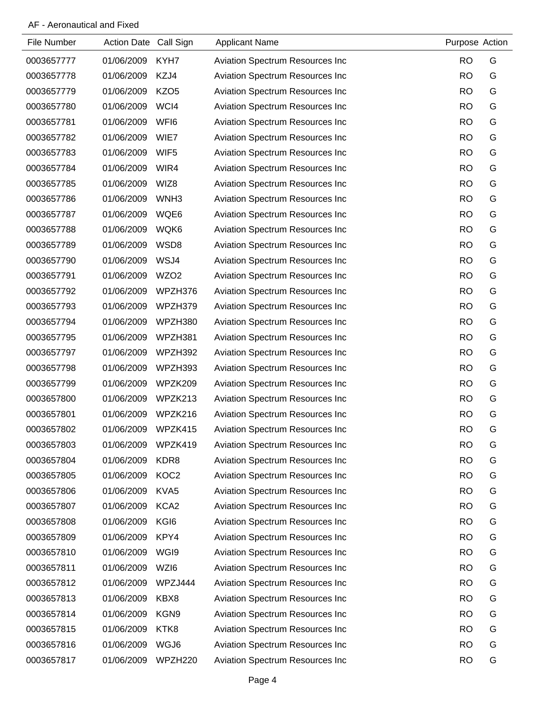| File Number | Action Date Call Sign |                  | <b>Applicant Name</b>                  | Purpose Action |   |
|-------------|-----------------------|------------------|----------------------------------------|----------------|---|
| 0003657777  | 01/06/2009            | KYH7             | <b>Aviation Spectrum Resources Inc</b> | <b>RO</b>      | G |
| 0003657778  | 01/06/2009            | KZJ4             | Aviation Spectrum Resources Inc        | <b>RO</b>      | G |
| 0003657779  | 01/06/2009            | KZO <sub>5</sub> | Aviation Spectrum Resources Inc        | <b>RO</b>      | G |
| 0003657780  | 01/06/2009            | WCI4             | Aviation Spectrum Resources Inc        | <b>RO</b>      | G |
| 0003657781  | 01/06/2009            | WFI6             | Aviation Spectrum Resources Inc        | <b>RO</b>      | G |
| 0003657782  | 01/06/2009            | WIE7             | Aviation Spectrum Resources Inc        | <b>RO</b>      | G |
| 0003657783  | 01/06/2009            | WIF <sub>5</sub> | Aviation Spectrum Resources Inc        | <b>RO</b>      | G |
| 0003657784  | 01/06/2009            | WIR4             | Aviation Spectrum Resources Inc        | <b>RO</b>      | G |
| 0003657785  | 01/06/2009            | WIZ8             | Aviation Spectrum Resources Inc        | <b>RO</b>      | G |
| 0003657786  | 01/06/2009            | WNH <sub>3</sub> | Aviation Spectrum Resources Inc        | <b>RO</b>      | G |
| 0003657787  | 01/06/2009            | WQE6             | Aviation Spectrum Resources Inc        | <b>RO</b>      | G |
| 0003657788  | 01/06/2009            | WQK6             | Aviation Spectrum Resources Inc        | <b>RO</b>      | G |
| 0003657789  | 01/06/2009            | WSD8             | Aviation Spectrum Resources Inc        | <b>RO</b>      | G |
| 0003657790  | 01/06/2009            | WSJ4             | Aviation Spectrum Resources Inc        | <b>RO</b>      | G |
| 0003657791  | 01/06/2009            | WZO <sub>2</sub> | Aviation Spectrum Resources Inc        | <b>RO</b>      | G |
| 0003657792  | 01/06/2009            | WPZH376          | <b>Aviation Spectrum Resources Inc</b> | <b>RO</b>      | G |
| 0003657793  | 01/06/2009            | WPZH379          | Aviation Spectrum Resources Inc        | <b>RO</b>      | G |
| 0003657794  | 01/06/2009            | WPZH380          | Aviation Spectrum Resources Inc        | <b>RO</b>      | G |
| 0003657795  | 01/06/2009            | WPZH381          | Aviation Spectrum Resources Inc        | <b>RO</b>      | G |
| 0003657797  | 01/06/2009            | WPZH392          | Aviation Spectrum Resources Inc        | <b>RO</b>      | G |
| 0003657798  | 01/06/2009            | WPZH393          | Aviation Spectrum Resources Inc        | <b>RO</b>      | G |
| 0003657799  | 01/06/2009            | WPZK209          | Aviation Spectrum Resources Inc        | <b>RO</b>      | G |
| 0003657800  | 01/06/2009            | WPZK213          | Aviation Spectrum Resources Inc        | <b>RO</b>      | G |
| 0003657801  | 01/06/2009            | WPZK216          | Aviation Spectrum Resources Inc        | <b>RO</b>      | G |
| 0003657802  | 01/06/2009            | WPZK415          | <b>Aviation Spectrum Resources Inc</b> | <b>RO</b>      | G |
| 0003657803  | 01/06/2009            | WPZK419          | <b>Aviation Spectrum Resources Inc</b> | <b>RO</b>      | G |
| 0003657804  | 01/06/2009            | KDR8             | Aviation Spectrum Resources Inc        | <b>RO</b>      | G |
| 0003657805  | 01/06/2009            | KOC <sub>2</sub> | Aviation Spectrum Resources Inc        | <b>RO</b>      | G |
| 0003657806  | 01/06/2009            | KVA5             | Aviation Spectrum Resources Inc        | <b>RO</b>      | G |
| 0003657807  | 01/06/2009            | KCA <sub>2</sub> | Aviation Spectrum Resources Inc        | <b>RO</b>      | G |
| 0003657808  | 01/06/2009            | KGI <sub>6</sub> | Aviation Spectrum Resources Inc        | <b>RO</b>      | G |
| 0003657809  | 01/06/2009            | KPY4             | Aviation Spectrum Resources Inc        | <b>RO</b>      | G |
| 0003657810  | 01/06/2009            | WGI9             | Aviation Spectrum Resources Inc        | <b>RO</b>      | G |
| 0003657811  | 01/06/2009            | WZI6             | Aviation Spectrum Resources Inc        | <b>RO</b>      | G |
| 0003657812  | 01/06/2009            | WPZJ444          | Aviation Spectrum Resources Inc        | <b>RO</b>      | G |
| 0003657813  | 01/06/2009            | KBX8             | Aviation Spectrum Resources Inc        | <b>RO</b>      | G |
| 0003657814  | 01/06/2009            | KGN9             | Aviation Spectrum Resources Inc        | <b>RO</b>      | G |
| 0003657815  | 01/06/2009            | KTK8             | Aviation Spectrum Resources Inc        | <b>RO</b>      | G |
| 0003657816  | 01/06/2009            | WGJ6             | Aviation Spectrum Resources Inc        | <b>RO</b>      | G |
| 0003657817  | 01/06/2009            | WPZH220          | Aviation Spectrum Resources Inc        | <b>RO</b>      | G |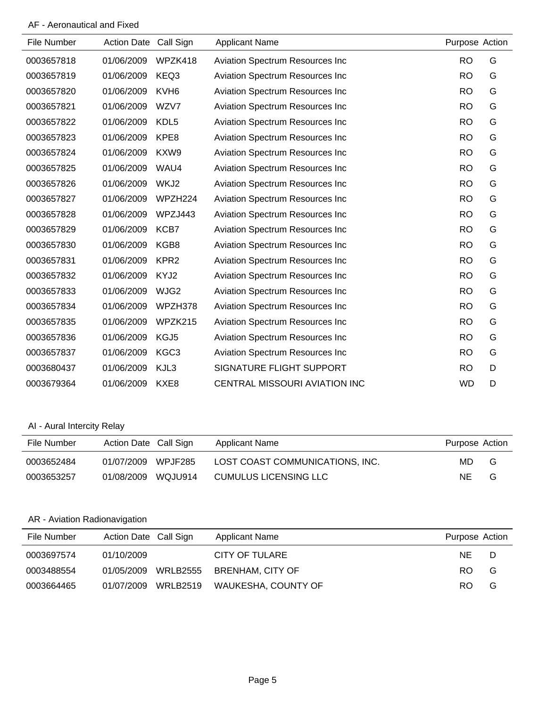AF - Aeronautical and Fixed

| File Number | <b>Action Date</b> | Call Sign        | <b>Applicant Name</b>                  | Purpose Action |   |
|-------------|--------------------|------------------|----------------------------------------|----------------|---|
| 0003657818  | 01/06/2009         | WPZK418          | Aviation Spectrum Resources Inc        | <b>RO</b>      | G |
| 0003657819  | 01/06/2009         | KEQ3             | Aviation Spectrum Resources Inc        | <b>RO</b>      | G |
| 0003657820  | 01/06/2009         | KVH <sub>6</sub> | <b>Aviation Spectrum Resources Inc</b> | <b>RO</b>      | G |
| 0003657821  | 01/06/2009         | WZV7             | <b>Aviation Spectrum Resources Inc</b> | <b>RO</b>      | G |
| 0003657822  | 01/06/2009         | KDL <sub>5</sub> | <b>Aviation Spectrum Resources Inc</b> | <b>RO</b>      | G |
| 0003657823  | 01/06/2009         | KPE8             | Aviation Spectrum Resources Inc        | <b>RO</b>      | G |
| 0003657824  | 01/06/2009         | KXW9             | <b>Aviation Spectrum Resources Inc</b> | <b>RO</b>      | G |
| 0003657825  | 01/06/2009         | WAU4             | <b>Aviation Spectrum Resources Inc</b> | <b>RO</b>      | G |
| 0003657826  | 01/06/2009         | WKJ2             | <b>Aviation Spectrum Resources Inc</b> | <b>RO</b>      | G |
| 0003657827  | 01/06/2009         | WPZH224          | <b>Aviation Spectrum Resources Inc</b> | <b>RO</b>      | G |
| 0003657828  | 01/06/2009         | WPZJ443          | Aviation Spectrum Resources Inc        | <b>RO</b>      | G |
| 0003657829  | 01/06/2009         | KCB7             | <b>Aviation Spectrum Resources Inc</b> | <b>RO</b>      | G |
| 0003657830  | 01/06/2009         | KGB8             | <b>Aviation Spectrum Resources Inc</b> | <b>RO</b>      | G |
| 0003657831  | 01/06/2009         | KPR <sub>2</sub> | <b>Aviation Spectrum Resources Inc</b> | <b>RO</b>      | G |
| 0003657832  | 01/06/2009         | KYJ2             | <b>Aviation Spectrum Resources Inc</b> | <b>RO</b>      | G |
| 0003657833  | 01/06/2009         | WJG2             | <b>Aviation Spectrum Resources Inc</b> | <b>RO</b>      | G |
| 0003657834  | 01/06/2009         | WPZH378          | Aviation Spectrum Resources Inc        | <b>RO</b>      | G |
| 0003657835  | 01/06/2009         | WPZK215          | Aviation Spectrum Resources Inc        | <b>RO</b>      | G |
| 0003657836  | 01/06/2009         | KGJ5             | <b>Aviation Spectrum Resources Inc</b> | <b>RO</b>      | G |
| 0003657837  | 01/06/2009         | KGC <sub>3</sub> | Aviation Spectrum Resources Inc        | <b>RO</b>      | G |
| 0003680437  | 01/06/2009         | KJL3             | SIGNATURE FLIGHT SUPPORT               | <b>RO</b>      | D |
| 0003679364  | 01/06/2009         | KXE8             | CENTRAL MISSOURI AVIATION INC          | <b>WD</b>      | D |

## AI - Aural Intercity Relay

| File Number | Action Date Call Sign |                | Applicant Name                  | Purpose Action |   |
|-------------|-----------------------|----------------|---------------------------------|----------------|---|
| 0003652484  | 01/07/2009            | <b>WPJF285</b> | LOST COAST COMMUNICATIONS. INC. | MD.            | G |
| 0003653257  | 01/08/2009            | WQJU914        | CUMULUS LICENSING LLC           | ΝE             | G |

## AR - Aviation Radionavigation

| File Number | Action Date Call Sign |                     | <b>Applicant Name</b>   | Purpose Action |   |
|-------------|-----------------------|---------------------|-------------------------|----------------|---|
| 0003697574  | 01/10/2009            |                     | CITY OF TULARE          | NE.            | D |
| 0003488554  | 01/05/2009            | WRLB2555            | <b>BRENHAM, CITY OF</b> | RO.            | G |
| 0003664465  |                       | 01/07/2009 WRLB2519 | WAUKESHA, COUNTY OF     | RO.            | G |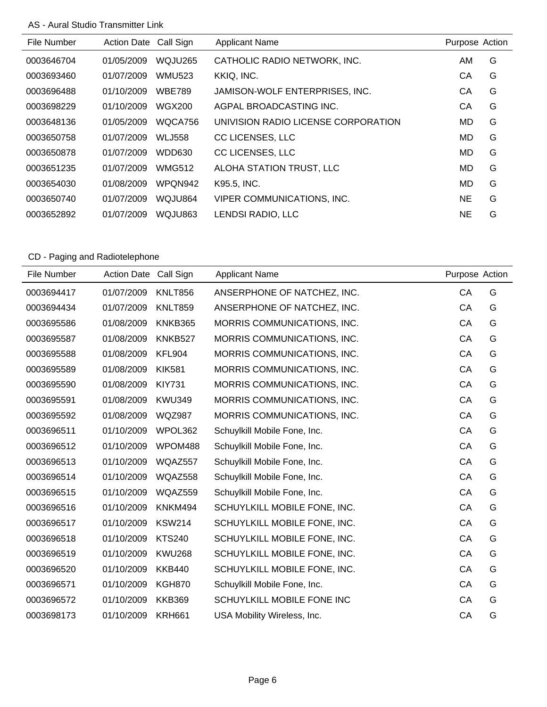### AS - Aural Studio Transmitter Link

| File Number | <b>Action Date</b> | Call Sign     | <b>Applicant Name</b>               | Purpose Action |   |
|-------------|--------------------|---------------|-------------------------------------|----------------|---|
| 0003646704  | 01/05/2009         | WQJU265       | CATHOLIC RADIO NETWORK, INC.        | AM             | G |
| 0003693460  | 01/07/2009         | <b>WMU523</b> | KKIQ, INC.                          | СA             | G |
| 0003696488  | 01/10/2009         | <b>WBE789</b> | JAMISON-WOLF ENTERPRISES, INC.      | CA             | G |
| 0003698229  | 01/10/2009         | WGX200        | AGPAL BROADCASTING INC.             | CA             | G |
| 0003648136  | 01/05/2009         | WQCA756       | UNIVISION RADIO LICENSE CORPORATION | MD.            | G |
| 0003650758  | 01/07/2009         | <b>WLJ558</b> | CC LICENSES, LLC                    | MD.            | G |
| 0003650878  | 01/07/2009         | <b>WDD630</b> | CC LICENSES, LLC                    | MD.            | G |
| 0003651235  | 01/07/2009         | <b>WMG512</b> | ALOHA STATION TRUST, LLC            | MD.            | G |
| 0003654030  | 01/08/2009         | WPQN942       | K95.5, INC.                         | MD             | G |
| 0003650740  | 01/07/2009         | WQJU864       | <b>VIPER COMMUNICATIONS, INC.</b>   | <b>NE</b>      | G |
| 0003652892  | 01/07/2009         | WQJU863       | LENDSI RADIO, LLC                   | <b>NE</b>      | G |

# CD - Paging and Radiotelephone

| File Number | <b>Action Date</b> | Call Sign      | <b>Applicant Name</b>        | Purpose Action |   |
|-------------|--------------------|----------------|------------------------------|----------------|---|
| 0003694417  | 01/07/2009         | <b>KNLT856</b> | ANSERPHONE OF NATCHEZ, INC.  | CA             | G |
| 0003694434  | 01/07/2009         | <b>KNLT859</b> | ANSERPHONE OF NATCHEZ, INC.  | CA             | G |
| 0003695586  | 01/08/2009         | KNKB365        | MORRIS COMMUNICATIONS, INC.  | CA             | G |
| 0003695587  | 01/08/2009         | KNKB527        | MORRIS COMMUNICATIONS, INC.  | CA             | G |
| 0003695588  | 01/08/2009         | <b>KFL904</b>  | MORRIS COMMUNICATIONS, INC.  | CA             | G |
| 0003695589  | 01/08/2009         | <b>KIK581</b>  | MORRIS COMMUNICATIONS, INC.  | CA             | G |
| 0003695590  | 01/08/2009         | <b>KIY731</b>  | MORRIS COMMUNICATIONS, INC.  | CA             | G |
| 0003695591  | 01/08/2009         | <b>KWU349</b>  | MORRIS COMMUNICATIONS, INC.  | CA             | G |
| 0003695592  | 01/08/2009         | <b>WQZ987</b>  | MORRIS COMMUNICATIONS, INC.  | CA             | G |
| 0003696511  | 01/10/2009         | WPOL362        | Schuylkill Mobile Fone, Inc. | CA             | G |
| 0003696512  | 01/10/2009         | WPOM488        | Schuylkill Mobile Fone, Inc. | CA             | G |
| 0003696513  | 01/10/2009         | WQAZ557        | Schuylkill Mobile Fone, Inc. | CA             | G |
| 0003696514  | 01/10/2009         | WQAZ558        | Schuylkill Mobile Fone, Inc. | CA             | G |
| 0003696515  | 01/10/2009         | WQAZ559        | Schuylkill Mobile Fone, Inc. | CA             | G |
| 0003696516  | 01/10/2009         | KNKM494        | SCHUYLKILL MOBILE FONE, INC. | CA             | G |
| 0003696517  | 01/10/2009         | <b>KSW214</b>  | SCHUYLKILL MOBILE FONE, INC. | CA             | G |
| 0003696518  | 01/10/2009         | <b>KTS240</b>  | SCHUYLKILL MOBILE FONE, INC. | CA             | G |
| 0003696519  | 01/10/2009         | <b>KWU268</b>  | SCHUYLKILL MOBILE FONE, INC. | CA             | G |
| 0003696520  | 01/10/2009         | <b>KKB440</b>  | SCHUYLKILL MOBILE FONE, INC. | CA             | G |
| 0003696571  | 01/10/2009         | <b>KGH870</b>  | Schuylkill Mobile Fone, Inc. | CA             | G |
| 0003696572  | 01/10/2009         | <b>KKB369</b>  | SCHUYLKILL MOBILE FONE INC   | CA             | G |
| 0003698173  | 01/10/2009         | <b>KRH661</b>  | USA Mobility Wireless, Inc.  | CA             | G |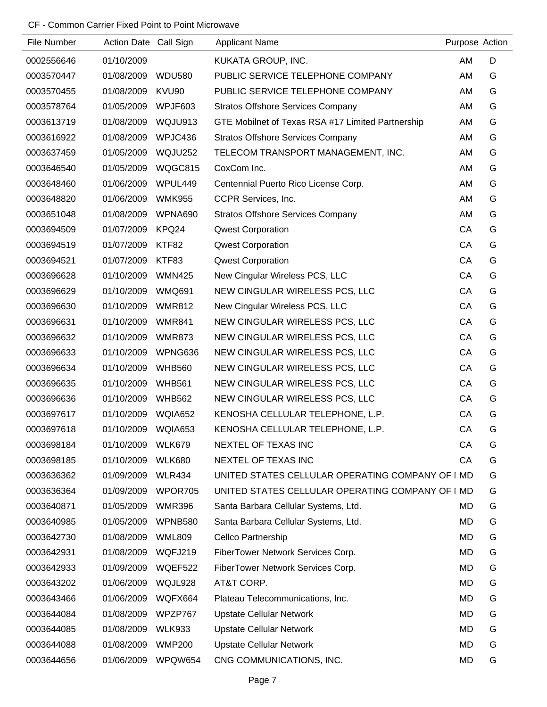| File Number | Action Date Call Sign |               | <b>Applicant Name</b>                             | Purpose Action |   |
|-------------|-----------------------|---------------|---------------------------------------------------|----------------|---|
| 0002556646  | 01/10/2009            |               | KUKATA GROUP, INC.                                | AM             | D |
| 0003570447  | 01/08/2009            | <b>WDU580</b> | PUBLIC SERVICE TELEPHONE COMPANY                  | AM             | G |
| 0003570455  | 01/08/2009            | KVU90         | PUBLIC SERVICE TELEPHONE COMPANY                  | AM             | G |
| 0003578764  | 01/05/2009            | WPJF603       | <b>Stratos Offshore Services Company</b>          | AM             | G |
| 0003613719  | 01/08/2009            | WQJU913       | GTE Mobilnet of Texas RSA #17 Limited Partnership | AM             | G |
| 0003616922  | 01/08/2009            | WPJC436       | <b>Stratos Offshore Services Company</b>          | AM             | G |
| 0003637459  | 01/05/2009            | WQJU252       | TELECOM TRANSPORT MANAGEMENT, INC.                | AM             | G |
| 0003646540  | 01/05/2009            | WQGC815       | CoxCom Inc.                                       | AM             | G |
| 0003648460  | 01/06/2009            | WPUL449       | Centennial Puerto Rico License Corp.              | AM             | G |
| 0003648820  | 01/06/2009            | <b>WMK955</b> | CCPR Services, Inc.                               | AM             | G |
| 0003651048  | 01/08/2009            | WPNA690       | <b>Stratos Offshore Services Company</b>          | AM             | G |
| 0003694509  | 01/07/2009            | KPQ24         | <b>Qwest Corporation</b>                          | CA             | G |
| 0003694519  | 01/07/2009            | KTF82         | <b>Qwest Corporation</b>                          | CA             | G |
| 0003694521  | 01/07/2009            | KTF83         | <b>Qwest Corporation</b>                          | CA             | G |
| 0003696628  | 01/10/2009            | <b>WMN425</b> | New Cingular Wireless PCS, LLC                    | CA             | G |
| 0003696629  | 01/10/2009            | <b>WMQ691</b> | NEW CINGULAR WIRELESS PCS, LLC                    | CA             | G |
| 0003696630  | 01/10/2009            | <b>WMR812</b> | New Cingular Wireless PCS, LLC                    | CA             | G |
| 0003696631  | 01/10/2009            | <b>WMR841</b> | NEW CINGULAR WIRELESS PCS, LLC                    | CA             | G |
| 0003696632  | 01/10/2009            | <b>WMR873</b> | NEW CINGULAR WIRELESS PCS, LLC                    | CA             | G |
| 0003696633  | 01/10/2009            | WPNG636       | NEW CINGULAR WIRELESS PCS, LLC                    | CA             | G |
| 0003696634  | 01/10/2009            | <b>WHB560</b> | NEW CINGULAR WIRELESS PCS, LLC                    | CA             | G |
| 0003696635  | 01/10/2009            | <b>WHB561</b> | NEW CINGULAR WIRELESS PCS, LLC                    | CA             | G |
| 0003696636  | 01/10/2009            | <b>WHB562</b> | NEW CINGULAR WIRELESS PCS, LLC                    | CA             | G |
| 0003697617  | 01/10/2009            | WQIA652       | KENOSHA CELLULAR TELEPHONE, L.P.                  | CA             | G |
| 0003697618  | 01/10/2009            | WQIA653       | KENOSHA CELLULAR TELEPHONE, L.P.                  | CA             | G |
| 0003698184  | 01/10/2009            | WLK679        | NEXTEL OF TEXAS INC                               | CA             | G |
| 0003698185  | 01/10/2009            | <b>WLK680</b> | NEXTEL OF TEXAS INC                               | CA             | G |
| 0003636362  | 01/09/2009            | <b>WLR434</b> | UNITED STATES CELLULAR OPERATING COMPANY OF I MD  |                | G |
| 0003636364  | 01/09/2009            | WPOR705       | UNITED STATES CELLULAR OPERATING COMPANY OF I MD  |                | G |
| 0003640871  | 01/05/2009            | <b>WMR396</b> | Santa Barbara Cellular Systems, Ltd.              | MD             | G |
| 0003640985  | 01/05/2009            | WPNB580       | Santa Barbara Cellular Systems, Ltd.              | MD             | G |
| 0003642730  | 01/08/2009            | <b>WML809</b> | Cellco Partnership                                | MD             | G |
| 0003642931  | 01/08/2009            | WQFJ219       | FiberTower Network Services Corp.                 | <b>MD</b>      | G |
| 0003642933  | 01/09/2009            | WQEF522       | FiberTower Network Services Corp.                 | MD             | G |
| 0003643202  | 01/06/2009            | WQJL928       | AT&T CORP.                                        | MD             | G |
| 0003643466  | 01/06/2009            | WQFX664       | Plateau Telecommunications, Inc.                  | MD             | G |
| 0003644084  | 01/08/2009            | WPZP767       | <b>Upstate Cellular Network</b>                   | <b>MD</b>      | G |
| 0003644085  | 01/08/2009            | <b>WLK933</b> | <b>Upstate Cellular Network</b>                   | MD             | G |
| 0003644088  | 01/08/2009            | <b>WMP200</b> | <b>Upstate Cellular Network</b>                   | <b>MD</b>      | G |
| 0003644656  | 01/06/2009            | WPQW654       | CNG COMMUNICATIONS, INC.                          | MD             | G |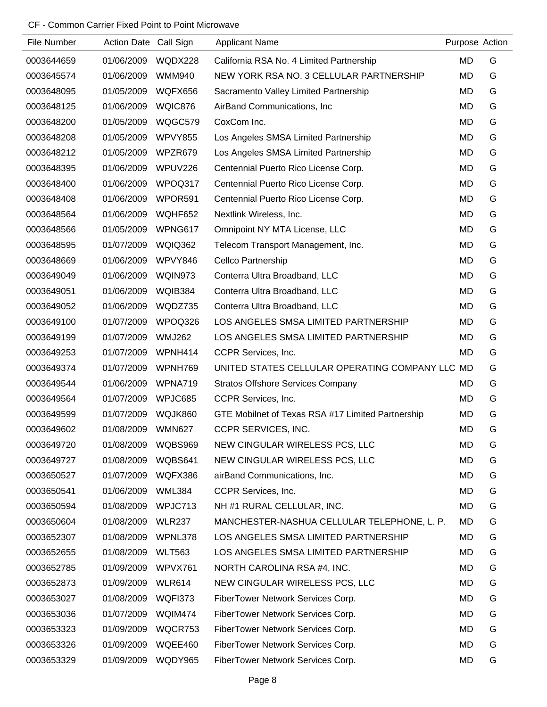| File Number | Action Date Call Sign |               | <b>Applicant Name</b>                             | Purpose Action |   |
|-------------|-----------------------|---------------|---------------------------------------------------|----------------|---|
| 0003644659  | 01/06/2009            | WQDX228       | California RSA No. 4 Limited Partnership          | MD             | G |
| 0003645574  | 01/06/2009            | <b>WMM940</b> | NEW YORK RSA NO. 3 CELLULAR PARTNERSHIP           | MD             | G |
| 0003648095  | 01/05/2009            | WQFX656       | Sacramento Valley Limited Partnership             | MD             | G |
| 0003648125  | 01/06/2009            | WQIC876       | AirBand Communications, Inc.                      | MD             | G |
| 0003648200  | 01/05/2009            | WQGC579       | CoxCom Inc.                                       | MD             | G |
| 0003648208  | 01/05/2009            | WPVY855       | Los Angeles SMSA Limited Partnership              | MD             | G |
| 0003648212  | 01/05/2009            | WPZR679       | Los Angeles SMSA Limited Partnership              | MD             | G |
| 0003648395  | 01/06/2009            | WPUV226       | Centennial Puerto Rico License Corp.              | MD             | G |
| 0003648400  | 01/06/2009            | WPOQ317       | Centennial Puerto Rico License Corp.              | MD             | G |
| 0003648408  | 01/06/2009            | WPOR591       | Centennial Puerto Rico License Corp.              | MD             | G |
| 0003648564  | 01/06/2009            | WQHF652       | Nextlink Wireless, Inc.                           | MD             | G |
| 0003648566  | 01/05/2009            | WPNG617       | Omnipoint NY MTA License, LLC                     | MD             | G |
| 0003648595  | 01/07/2009            | WQIQ362       | Telecom Transport Management, Inc.                | MD             | G |
| 0003648669  | 01/06/2009            | WPVY846       | Cellco Partnership                                | MD             | G |
| 0003649049  | 01/06/2009            | WQIN973       | Conterra Ultra Broadband, LLC                     | MD             | G |
| 0003649051  | 01/06/2009            | WQIB384       | Conterra Ultra Broadband, LLC                     | MD             | G |
| 0003649052  | 01/06/2009            | WQDZ735       | Conterra Ultra Broadband, LLC                     | MD             | G |
| 0003649100  | 01/07/2009            | WPOQ326       | LOS ANGELES SMSA LIMITED PARTNERSHIP              | MD             | G |
| 0003649199  | 01/07/2009            | <b>WMJ262</b> | LOS ANGELES SMSA LIMITED PARTNERSHIP              | MD             | G |
| 0003649253  | 01/07/2009            | WPNH414       | CCPR Services, Inc.                               | MD             | G |
| 0003649374  | 01/07/2009            | WPNH769       | UNITED STATES CELLULAR OPERATING COMPANY LLC      | MD             | G |
| 0003649544  | 01/06/2009            | WPNA719       | <b>Stratos Offshore Services Company</b>          | MD             | G |
| 0003649564  | 01/07/2009            | WPJC685       | CCPR Services, Inc.                               | MD             | G |
| 0003649599  | 01/07/2009            | WQJK860       | GTE Mobilnet of Texas RSA #17 Limited Partnership | <b>MD</b>      | G |
| 0003649602  | 01/08/2009            | <b>WMN627</b> | <b>CCPR SERVICES, INC.</b>                        | <b>MD</b>      | G |
| 0003649720  | 01/08/2009            | WQBS969       | NEW CINGULAR WIRELESS PCS, LLC                    | <b>MD</b>      | G |
| 0003649727  | 01/08/2009            | WQBS641       | NEW CINGULAR WIRELESS PCS, LLC                    | MD             | G |
| 0003650527  | 01/07/2009            | WQFX386       | airBand Communications, Inc.                      | MD             | G |
| 0003650541  | 01/06/2009            | <b>WML384</b> | CCPR Services, Inc.                               | MD             | G |
| 0003650594  | 01/08/2009            | WPJC713       | NH #1 RURAL CELLULAR, INC.                        | MD             | G |
| 0003650604  | 01/08/2009            | <b>WLR237</b> | MANCHESTER-NASHUA CELLULAR TELEPHONE, L. P.       | MD             | G |
| 0003652307  | 01/08/2009            | WPNL378       | LOS ANGELES SMSA LIMITED PARTNERSHIP              | MD             | G |
| 0003652655  | 01/08/2009            | <b>WLT563</b> | LOS ANGELES SMSA LIMITED PARTNERSHIP              | MD             | G |
| 0003652785  | 01/09/2009            | WPVX761       | NORTH CAROLINA RSA #4, INC.                       | MD             | G |
| 0003652873  | 01/09/2009            | <b>WLR614</b> | NEW CINGULAR WIRELESS PCS, LLC                    | MD             | G |
| 0003653027  | 01/08/2009            | WQFI373       | FiberTower Network Services Corp.                 | MD             | G |
| 0003653036  | 01/07/2009            | WQIM474       | FiberTower Network Services Corp.                 | MD             | G |
| 0003653323  | 01/09/2009            | WQCR753       | FiberTower Network Services Corp.                 | MD             | G |
| 0003653326  | 01/09/2009            | WQEE460       | FiberTower Network Services Corp.                 | MD             | G |
| 0003653329  | 01/09/2009            | WQDY965       | FiberTower Network Services Corp.                 | MD             | G |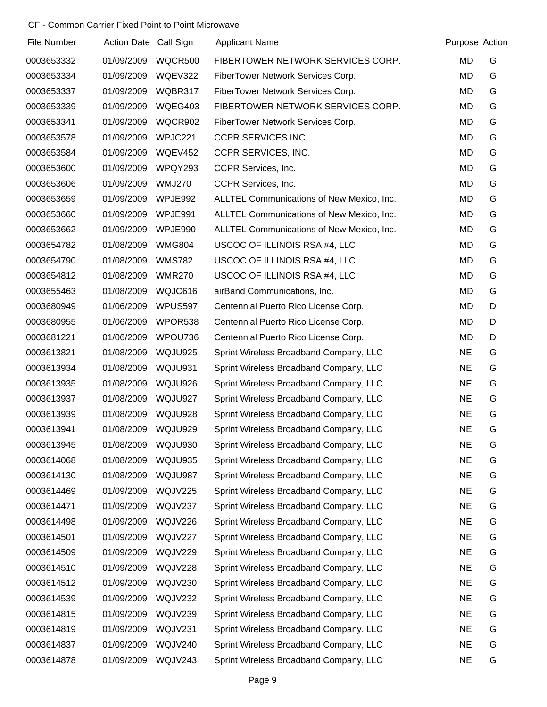| File Number | Action Date Call Sign |                | <b>Applicant Name</b>                     | Purpose Action |   |
|-------------|-----------------------|----------------|-------------------------------------------|----------------|---|
| 0003653332  | 01/09/2009            | WQCR500        | FIBERTOWER NETWORK SERVICES CORP.         | <b>MD</b>      | G |
| 0003653334  | 01/09/2009            | WQEV322        | FiberTower Network Services Corp.         | <b>MD</b>      | G |
| 0003653337  | 01/09/2009            | WQBR317        | FiberTower Network Services Corp.         | MD             | G |
| 0003653339  | 01/09/2009            | WQEG403        | FIBERTOWER NETWORK SERVICES CORP.         | MD             | G |
| 0003653341  | 01/09/2009            | WQCR902        | FiberTower Network Services Corp.         | MD             | G |
| 0003653578  | 01/09/2009            | WPJC221        | <b>CCPR SERVICES INC</b>                  | <b>MD</b>      | G |
| 0003653584  | 01/09/2009            | <b>WQEV452</b> | CCPR SERVICES, INC.                       | <b>MD</b>      | G |
| 0003653600  | 01/09/2009            | WPQY293        | CCPR Services, Inc.                       | <b>MD</b>      | G |
| 0003653606  | 01/09/2009            | <b>WMJ270</b>  | CCPR Services, Inc.                       | <b>MD</b>      | G |
| 0003653659  | 01/09/2009            | WPJE992        | ALLTEL Communications of New Mexico, Inc. | MD             | G |
| 0003653660  | 01/09/2009            | WPJE991        | ALLTEL Communications of New Mexico, Inc. | MD             | G |
| 0003653662  | 01/09/2009            | WPJE990        | ALLTEL Communications of New Mexico, Inc. | <b>MD</b>      | G |
| 0003654782  | 01/08/2009            | <b>WMG804</b>  | USCOC OF ILLINOIS RSA #4, LLC             | MD             | G |
| 0003654790  | 01/08/2009            | <b>WMS782</b>  | USCOC OF ILLINOIS RSA #4, LLC             | <b>MD</b>      | G |
| 0003654812  | 01/08/2009            | <b>WMR270</b>  | USCOC OF ILLINOIS RSA #4, LLC             | MD             | G |
| 0003655463  | 01/08/2009            | WQJC616        | airBand Communications, Inc.              | <b>MD</b>      | G |
| 0003680949  | 01/06/2009            | WPUS597        | Centennial Puerto Rico License Corp.      | MD             | D |
| 0003680955  | 01/06/2009            | WPOR538        | Centennial Puerto Rico License Corp.      | <b>MD</b>      | D |
| 0003681221  | 01/06/2009            | WPOU736        | Centennial Puerto Rico License Corp.      | MD             | D |
| 0003613821  | 01/08/2009            | WQJU925        | Sprint Wireless Broadband Company, LLC    | <b>NE</b>      | G |
| 0003613934  | 01/08/2009            | WQJU931        | Sprint Wireless Broadband Company, LLC    | <b>NE</b>      | G |
| 0003613935  | 01/08/2009            | WQJU926        | Sprint Wireless Broadband Company, LLC    | <b>NE</b>      | G |
| 0003613937  | 01/08/2009            | WQJU927        | Sprint Wireless Broadband Company, LLC    | <b>NE</b>      | G |
| 0003613939  | 01/08/2009            | WQJU928        | Sprint Wireless Broadband Company, LLC    | <b>NE</b>      | G |
| 0003613941  | 01/08/2009            | WQJU929        | Sprint Wireless Broadband Company, LLC    | <b>NE</b>      | G |
| 0003613945  | 01/08/2009            | WQJU930        | Sprint Wireless Broadband Company, LLC    | <b>NE</b>      | G |
| 0003614068  | 01/08/2009            | WQJU935        | Sprint Wireless Broadband Company, LLC    | <b>NE</b>      | G |
| 0003614130  | 01/08/2009            | WQJU987        | Sprint Wireless Broadband Company, LLC    | <b>NE</b>      | G |
| 0003614469  | 01/09/2009            | WQJV225        | Sprint Wireless Broadband Company, LLC    | <b>NE</b>      | G |
| 0003614471  | 01/09/2009            | WQJV237        | Sprint Wireless Broadband Company, LLC    | <b>NE</b>      | G |
| 0003614498  | 01/09/2009            | WQJV226        | Sprint Wireless Broadband Company, LLC    | <b>NE</b>      | G |
| 0003614501  | 01/09/2009            | WQJV227        | Sprint Wireless Broadband Company, LLC    | <b>NE</b>      | G |
| 0003614509  | 01/09/2009            | WQJV229        | Sprint Wireless Broadband Company, LLC    | <b>NE</b>      | G |
| 0003614510  | 01/09/2009            | WQJV228        | Sprint Wireless Broadband Company, LLC    | <b>NE</b>      | G |
| 0003614512  | 01/09/2009            | <b>WQJV230</b> | Sprint Wireless Broadband Company, LLC    | <b>NE</b>      | G |
| 0003614539  | 01/09/2009            | WQJV232        | Sprint Wireless Broadband Company, LLC    | <b>NE</b>      | G |
| 0003614815  | 01/09/2009            | WQJV239        | Sprint Wireless Broadband Company, LLC    | <b>NE</b>      | G |
| 0003614819  | 01/09/2009            | WQJV231        | Sprint Wireless Broadband Company, LLC    | <b>NE</b>      | G |
| 0003614837  | 01/09/2009            | <b>WQJV240</b> | Sprint Wireless Broadband Company, LLC    | <b>NE</b>      | G |
| 0003614878  | 01/09/2009            | WQJV243        | Sprint Wireless Broadband Company, LLC    | <b>NE</b>      | G |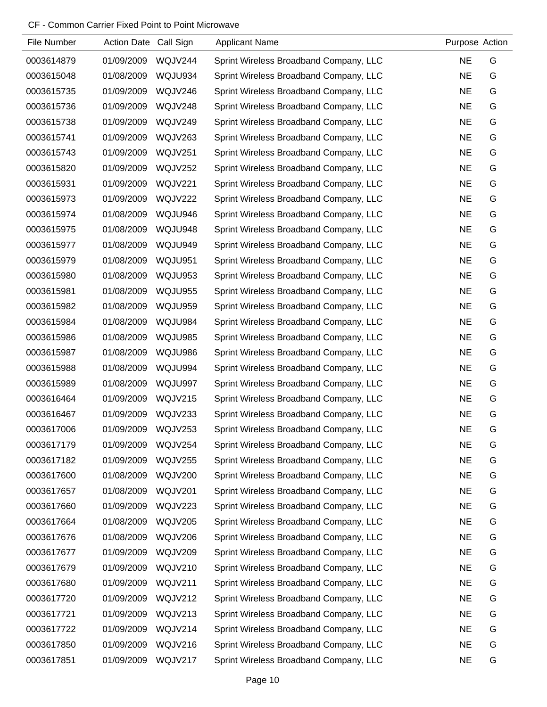| File Number | Action Date Call Sign |                | <b>Applicant Name</b>                  | Purpose Action |   |
|-------------|-----------------------|----------------|----------------------------------------|----------------|---|
| 0003614879  | 01/09/2009            | WQJV244        | Sprint Wireless Broadband Company, LLC | <b>NE</b>      | G |
| 0003615048  | 01/08/2009            | WQJU934        | Sprint Wireless Broadband Company, LLC | <b>NE</b>      | G |
| 0003615735  | 01/09/2009            | WQJV246        | Sprint Wireless Broadband Company, LLC | <b>NE</b>      | G |
| 0003615736  | 01/09/2009            | WQJV248        | Sprint Wireless Broadband Company, LLC | <b>NE</b>      | G |
| 0003615738  | 01/09/2009            | WQJV249        | Sprint Wireless Broadband Company, LLC | <b>NE</b>      | G |
| 0003615741  | 01/09/2009            | WQJV263        | Sprint Wireless Broadband Company, LLC | <b>NE</b>      | G |
| 0003615743  | 01/09/2009            | WQJV251        | Sprint Wireless Broadband Company, LLC | <b>NE</b>      | G |
| 0003615820  | 01/09/2009            | <b>WQJV252</b> | Sprint Wireless Broadband Company, LLC | <b>NE</b>      | G |
| 0003615931  | 01/09/2009            | <b>WQJV221</b> | Sprint Wireless Broadband Company, LLC | <b>NE</b>      | G |
| 0003615973  | 01/09/2009            | <b>WQJV222</b> | Sprint Wireless Broadband Company, LLC | <b>NE</b>      | G |
| 0003615974  | 01/08/2009            | WQJU946        | Sprint Wireless Broadband Company, LLC | <b>NE</b>      | G |
| 0003615975  | 01/08/2009            | WQJU948        | Sprint Wireless Broadband Company, LLC | <b>NE</b>      | G |
| 0003615977  | 01/08/2009            | WQJU949        | Sprint Wireless Broadband Company, LLC | <b>NE</b>      | G |
| 0003615979  | 01/08/2009            | WQJU951        | Sprint Wireless Broadband Company, LLC | <b>NE</b>      | G |
| 0003615980  | 01/08/2009            | WQJU953        | Sprint Wireless Broadband Company, LLC | <b>NE</b>      | G |
| 0003615981  | 01/08/2009            | WQJU955        | Sprint Wireless Broadband Company, LLC | <b>NE</b>      | G |
| 0003615982  | 01/08/2009            | WQJU959        | Sprint Wireless Broadband Company, LLC | <b>NE</b>      | G |
| 0003615984  | 01/08/2009            | WQJU984        | Sprint Wireless Broadband Company, LLC | <b>NE</b>      | G |
| 0003615986  | 01/08/2009            | WQJU985        | Sprint Wireless Broadband Company, LLC | <b>NE</b>      | G |
| 0003615987  | 01/08/2009            | WQJU986        | Sprint Wireless Broadband Company, LLC | <b>NE</b>      | G |
| 0003615988  | 01/08/2009            | WQJU994        | Sprint Wireless Broadband Company, LLC | <b>NE</b>      | G |
| 0003615989  | 01/08/2009            | WQJU997        | Sprint Wireless Broadband Company, LLC | <b>NE</b>      | G |
| 0003616464  | 01/09/2009            | WQJV215        | Sprint Wireless Broadband Company, LLC | <b>NE</b>      | G |
| 0003616467  | 01/09/2009            | WQJV233        | Sprint Wireless Broadband Company, LLC | <b>NE</b>      | G |
| 0003617006  | 01/09/2009            | WQJV253        | Sprint Wireless Broadband Company, LLC | <b>NE</b>      | G |
| 0003617179  | 01/09/2009            | WQJV254        | Sprint Wireless Broadband Company, LLC | <b>NE</b>      | G |
| 0003617182  | 01/09/2009            | WQJV255        | Sprint Wireless Broadband Company, LLC | <b>NE</b>      | G |
| 0003617600  | 01/08/2009            | <b>WQJV200</b> | Sprint Wireless Broadband Company, LLC | <b>NE</b>      | G |
| 0003617657  | 01/08/2009            | <b>WQJV201</b> | Sprint Wireless Broadband Company, LLC | <b>NE</b>      | G |
| 0003617660  | 01/09/2009            | WQJV223        | Sprint Wireless Broadband Company, LLC | <b>NE</b>      | G |
| 0003617664  | 01/08/2009            | WQJV205        | Sprint Wireless Broadband Company, LLC | <b>NE</b>      | G |
| 0003617676  | 01/08/2009            | <b>WQJV206</b> | Sprint Wireless Broadband Company, LLC | <b>NE</b>      | G |
| 0003617677  | 01/09/2009            | WQJV209        | Sprint Wireless Broadband Company, LLC | <b>NE</b>      | G |
| 0003617679  | 01/09/2009            | <b>WQJV210</b> | Sprint Wireless Broadband Company, LLC | <b>NE</b>      | G |
| 0003617680  | 01/09/2009            | WQJV211        | Sprint Wireless Broadband Company, LLC | <b>NE</b>      | G |
| 0003617720  | 01/09/2009            | WQJV212        | Sprint Wireless Broadband Company, LLC | <b>NE</b>      | G |
| 0003617721  | 01/09/2009            | WQJV213        | Sprint Wireless Broadband Company, LLC | <b>NE</b>      | G |
| 0003617722  | 01/09/2009            | WQJV214        | Sprint Wireless Broadband Company, LLC | <b>NE</b>      | G |
| 0003617850  | 01/09/2009            | <b>WQJV216</b> | Sprint Wireless Broadband Company, LLC | <b>NE</b>      | G |
| 0003617851  | 01/09/2009            | WQJV217        | Sprint Wireless Broadband Company, LLC | <b>NE</b>      | G |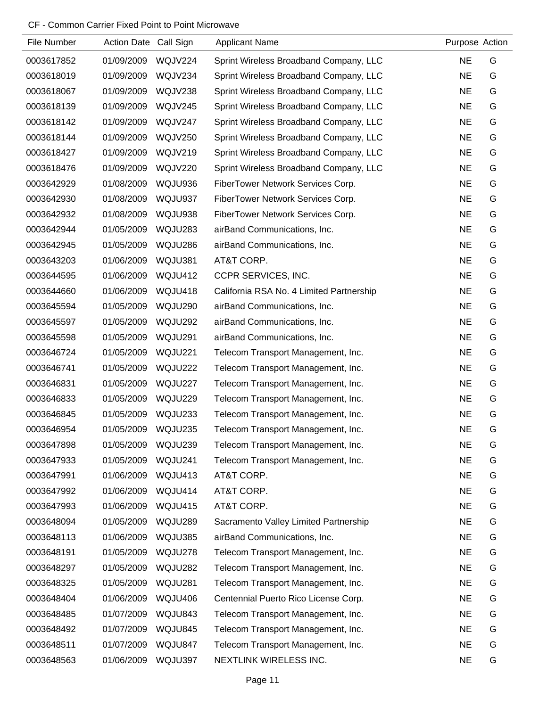| File Number | Action Date Call Sign |                | <b>Applicant Name</b>                    | Purpose Action |   |
|-------------|-----------------------|----------------|------------------------------------------|----------------|---|
| 0003617852  | 01/09/2009            | WQJV224        | Sprint Wireless Broadband Company, LLC   | <b>NE</b>      | G |
| 0003618019  | 01/09/2009            | WQJV234        | Sprint Wireless Broadband Company, LLC   | <b>NE</b>      | G |
| 0003618067  | 01/09/2009            | WQJV238        | Sprint Wireless Broadband Company, LLC   | <b>NE</b>      | G |
| 0003618139  | 01/09/2009            | WQJV245        | Sprint Wireless Broadband Company, LLC   | <b>NE</b>      | G |
| 0003618142  | 01/09/2009            | WQJV247        | Sprint Wireless Broadband Company, LLC   | <b>NE</b>      | G |
| 0003618144  | 01/09/2009            | <b>WQJV250</b> | Sprint Wireless Broadband Company, LLC   | <b>NE</b>      | G |
| 0003618427  | 01/09/2009            | WQJV219        | Sprint Wireless Broadband Company, LLC   | <b>NE</b>      | G |
| 0003618476  | 01/09/2009            | <b>WQJV220</b> | Sprint Wireless Broadband Company, LLC   | <b>NE</b>      | G |
| 0003642929  | 01/08/2009            | WQJU936        | FiberTower Network Services Corp.        | <b>NE</b>      | G |
| 0003642930  | 01/08/2009            | WQJU937        | FiberTower Network Services Corp.        | <b>NE</b>      | G |
| 0003642932  | 01/08/2009            | WQJU938        | FiberTower Network Services Corp.        | <b>NE</b>      | G |
| 0003642944  | 01/05/2009            | WQJU283        | airBand Communications, Inc.             | <b>NE</b>      | G |
| 0003642945  | 01/05/2009            | WQJU286        | airBand Communications, Inc.             | <b>NE</b>      | G |
| 0003643203  | 01/06/2009            | WQJU381        | AT&T CORP.                               | <b>NE</b>      | G |
| 0003644595  | 01/06/2009            | WQJU412        | CCPR SERVICES, INC.                      | <b>NE</b>      | G |
| 0003644660  | 01/06/2009            | WQJU418        | California RSA No. 4 Limited Partnership | <b>NE</b>      | G |
| 0003645594  | 01/05/2009            | <b>WQJU290</b> | airBand Communications, Inc.             | <b>NE</b>      | G |
| 0003645597  | 01/05/2009            | <b>WQJU292</b> | airBand Communications, Inc.             | <b>NE</b>      | G |
| 0003645598  | 01/05/2009            | WQJU291        | airBand Communications, Inc.             | <b>NE</b>      | G |
| 0003646724  | 01/05/2009            | WQJU221        | Telecom Transport Management, Inc.       | <b>NE</b>      | G |
| 0003646741  | 01/05/2009            | WQJU222        | Telecom Transport Management, Inc.       | <b>NE</b>      | G |
| 0003646831  | 01/05/2009            | WQJU227        | Telecom Transport Management, Inc.       | <b>NE</b>      | G |
| 0003646833  | 01/05/2009            | WQJU229        | Telecom Transport Management, Inc.       | <b>NE</b>      | G |
| 0003646845  | 01/05/2009            | WQJU233        | Telecom Transport Management, Inc.       | <b>NE</b>      | G |
| 0003646954  | 01/05/2009            | WQJU235        | Telecom Transport Management, Inc.       | <b>NE</b>      | G |
| 0003647898  | 01/05/2009            | WQJU239        | Telecom Transport Management, Inc.       | <b>NE</b>      | G |
| 0003647933  | 01/05/2009            | WQJU241        | Telecom Transport Management, Inc.       | <b>NE</b>      | G |
| 0003647991  | 01/06/2009            | WQJU413        | AT&T CORP.                               | <b>NE</b>      | G |
| 0003647992  | 01/06/2009            | WQJU414        | AT&T CORP.                               | <b>NE</b>      | G |
| 0003647993  | 01/06/2009            | WQJU415        | AT&T CORP.                               | <b>NE</b>      | G |
| 0003648094  | 01/05/2009            | WQJU289        | Sacramento Valley Limited Partnership    | <b>NE</b>      | G |
| 0003648113  | 01/06/2009            | WQJU385        | airBand Communications, Inc.             | <b>NE</b>      | G |
| 0003648191  | 01/05/2009            | WQJU278        | Telecom Transport Management, Inc.       | <b>NE</b>      | G |
| 0003648297  | 01/05/2009            | WQJU282        | Telecom Transport Management, Inc.       | <b>NE</b>      | G |
| 0003648325  | 01/05/2009            | WQJU281        | Telecom Transport Management, Inc.       | <b>NE</b>      | G |
| 0003648404  | 01/06/2009            | WQJU406        | Centennial Puerto Rico License Corp.     | <b>NE</b>      | G |
| 0003648485  | 01/07/2009            | WQJU843        | Telecom Transport Management, Inc.       | <b>NE</b>      | G |
| 0003648492  | 01/07/2009            | WQJU845        | Telecom Transport Management, Inc.       | <b>NE</b>      | G |
| 0003648511  | 01/07/2009            | WQJU847        | Telecom Transport Management, Inc.       | <b>NE</b>      | G |
| 0003648563  | 01/06/2009            | WQJU397        | NEXTLINK WIRELESS INC.                   | <b>NE</b>      | G |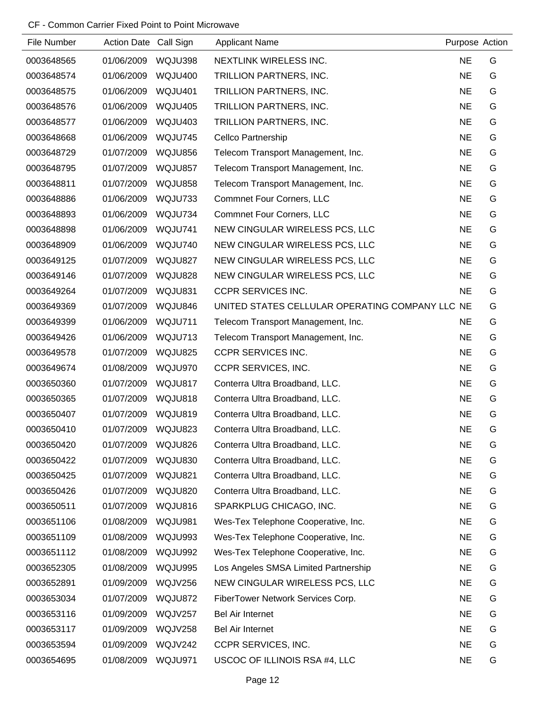| File Number | Action Date Call Sign |                | <b>Applicant Name</b>                           | Purpose Action |   |
|-------------|-----------------------|----------------|-------------------------------------------------|----------------|---|
| 0003648565  | 01/06/2009            | WQJU398        | NEXTLINK WIRELESS INC.                          | <b>NE</b>      | G |
| 0003648574  | 01/06/2009            | <b>WQJU400</b> | TRILLION PARTNERS, INC.                         | <b>NE</b>      | G |
| 0003648575  | 01/06/2009            | <b>WQJU401</b> | TRILLION PARTNERS, INC.                         | <b>NE</b>      | G |
| 0003648576  | 01/06/2009            | WQJU405        | TRILLION PARTNERS, INC.                         | <b>NE</b>      | G |
| 0003648577  | 01/06/2009            | <b>WQJU403</b> | TRILLION PARTNERS, INC.                         | <b>NE</b>      | G |
| 0003648668  | 01/06/2009            | WQJU745        | <b>Cellco Partnership</b>                       | <b>NE</b>      | G |
| 0003648729  | 01/07/2009            | WQJU856        | Telecom Transport Management, Inc.              | <b>NE</b>      | G |
| 0003648795  | 01/07/2009            | WQJU857        | Telecom Transport Management, Inc.              | <b>NE</b>      | G |
| 0003648811  | 01/07/2009            | WQJU858        | Telecom Transport Management, Inc.              | <b>NE</b>      | G |
| 0003648886  | 01/06/2009            | WQJU733        | <b>Commnet Four Corners, LLC</b>                | <b>NE</b>      | G |
| 0003648893  | 01/06/2009            | WQJU734        | <b>Commnet Four Corners, LLC</b>                | <b>NE</b>      | G |
| 0003648898  | 01/06/2009            | WQJU741        | NEW CINGULAR WIRELESS PCS, LLC                  | <b>NE</b>      | G |
| 0003648909  | 01/06/2009            | WQJU740        | NEW CINGULAR WIRELESS PCS, LLC                  | <b>NE</b>      | G |
| 0003649125  | 01/07/2009            | WQJU827        | NEW CINGULAR WIRELESS PCS, LLC                  | <b>NE</b>      | G |
| 0003649146  | 01/07/2009            | WQJU828        | NEW CINGULAR WIRELESS PCS, LLC                  | <b>NE</b>      | G |
| 0003649264  | 01/07/2009            | WQJU831        | <b>CCPR SERVICES INC.</b>                       | <b>NE</b>      | G |
| 0003649369  | 01/07/2009            | WQJU846        | UNITED STATES CELLULAR OPERATING COMPANY LLC NE |                | G |
| 0003649399  | 01/06/2009            | WQJU711        | Telecom Transport Management, Inc.              | <b>NE</b>      | G |
| 0003649426  | 01/06/2009            | WQJU713        | Telecom Transport Management, Inc.              | <b>NE</b>      | G |
| 0003649578  | 01/07/2009            | WQJU825        | <b>CCPR SERVICES INC.</b>                       | <b>NE</b>      | G |
| 0003649674  | 01/08/2009            | WQJU970        | CCPR SERVICES, INC.                             | <b>NE</b>      | G |
| 0003650360  | 01/07/2009            | WQJU817        | Conterra Ultra Broadband, LLC.                  | <b>NE</b>      | G |
| 0003650365  | 01/07/2009            | WQJU818        | Conterra Ultra Broadband, LLC.                  | <b>NE</b>      | G |
| 0003650407  | 01/07/2009            | WQJU819        | Conterra Ultra Broadband, LLC.                  | <b>NE</b>      | G |
| 0003650410  | 01/07/2009            | WQJU823        | Conterra Ultra Broadband, LLC.                  | <b>NE</b>      | G |
| 0003650420  | 01/07/2009            | WQJU826        | Conterra Ultra Broadband, LLC.                  | <b>NE</b>      | G |
| 0003650422  | 01/07/2009            | <b>WQJU830</b> | Conterra Ultra Broadband, LLC.                  | <b>NE</b>      | G |
| 0003650425  | 01/07/2009            | <b>WQJU821</b> | Conterra Ultra Broadband, LLC.                  | <b>NE</b>      | G |
| 0003650426  | 01/07/2009            | <b>WQJU820</b> | Conterra Ultra Broadband, LLC.                  | <b>NE</b>      | G |
| 0003650511  | 01/07/2009            | WQJU816        | SPARKPLUG CHICAGO, INC.                         | <b>NE</b>      | G |
| 0003651106  | 01/08/2009            | WQJU981        | Wes-Tex Telephone Cooperative, Inc.             | <b>NE</b>      | G |
| 0003651109  | 01/08/2009            | WQJU993        | Wes-Tex Telephone Cooperative, Inc.             | <b>NE</b>      | G |
| 0003651112  | 01/08/2009            | WQJU992        | Wes-Tex Telephone Cooperative, Inc.             | <b>NE</b>      | G |
| 0003652305  | 01/08/2009            | WQJU995        | Los Angeles SMSA Limited Partnership            | <b>NE</b>      | G |
| 0003652891  | 01/09/2009            | <b>WQJV256</b> | NEW CINGULAR WIRELESS PCS, LLC                  | <b>NE</b>      | G |
| 0003653034  | 01/07/2009            | WQJU872        | FiberTower Network Services Corp.               | <b>NE</b>      | G |
| 0003653116  | 01/09/2009            | WQJV257        | <b>Bel Air Internet</b>                         | <b>NE</b>      | G |
| 0003653117  | 01/09/2009            | WQJV258        | <b>Bel Air Internet</b>                         | <b>NE</b>      | G |
| 0003653594  | 01/09/2009            | WQJV242        | CCPR SERVICES, INC.                             | <b>NE</b>      | G |
| 0003654695  | 01/08/2009            | WQJU971        | USCOC OF ILLINOIS RSA #4, LLC                   | <b>NE</b>      | G |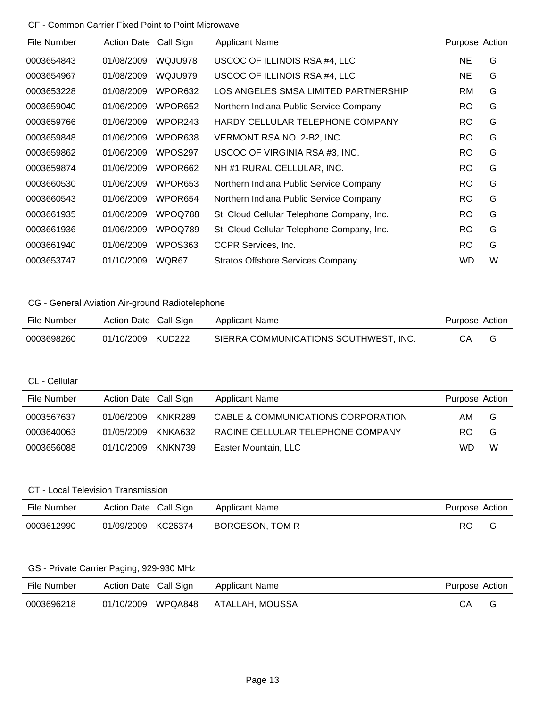| File Number | <b>Action Date</b> | Call Sign           | <b>Applicant Name</b>                      | Purpose Action |   |
|-------------|--------------------|---------------------|--------------------------------------------|----------------|---|
| 0003654843  | 01/08/2009         | WQJU978             | USCOC OF ILLINOIS RSA #4, LLC              | NE             | G |
| 0003654967  | 01/08/2009         | WQJU979             | USCOC OF ILLINOIS RSA #4, LLC              | NE             | G |
| 0003653228  | 01/08/2009         | WPOR632             | LOS ANGELES SMSA LIMITED PARTNERSHIP       | <b>RM</b>      | G |
| 0003659040  | 01/06/2009         | WPOR <sub>652</sub> | Northern Indiana Public Service Company    | RO.            | G |
| 0003659766  | 01/06/2009         | WPOR <sub>243</sub> | HARDY CELLULAR TELEPHONE COMPANY           | RO.            | G |
| 0003659848  | 01/06/2009         | WPOR638             | VERMONT RSA NO. 2-B2, INC.                 | RO.            | G |
| 0003659862  | 01/06/2009         | WPOS297             | USCOC OF VIRGINIA RSA #3, INC.             | <b>RO</b>      | G |
| 0003659874  | 01/06/2009         | WPOR662             | NH #1 RURAL CELLULAR, INC.                 | <b>RO</b>      | G |
| 0003660530  | 01/06/2009         | WPOR653             | Northern Indiana Public Service Company    | <b>RO</b>      | G |
| 0003660543  | 01/06/2009         | WPOR654             | Northern Indiana Public Service Company    | <b>RO</b>      | G |
| 0003661935  | 01/06/2009         | WPOQ788             | St. Cloud Cellular Telephone Company, Inc. | RO.            | G |
| 0003661936  | 01/06/2009         | WPOQ789             | St. Cloud Cellular Telephone Company, Inc. | <b>RO</b>      | G |
| 0003661940  | 01/06/2009         | WPOS363             | CCPR Services, Inc.                        | <b>RO</b>      | G |
| 0003653747  | 01/10/2009         | WQR67               | <b>Stratos Offshore Services Company</b>   | WD             | W |

# CG - General Aviation Air-ground Radiotelephone

| File Number | Action Date Call Sign |        | Applicant Name                        | Purpose Action |   |
|-------------|-----------------------|--------|---------------------------------------|----------------|---|
| 0003698260  | 01/10/2009            | KUD222 | SIERRA COMMUNICATIONS SOUTHWEST, INC. | CА             | G |

## CL - Cellular

| File Number | Action Date Call Sign |         | <b>Applicant Name</b>              | Purpose Action |   |
|-------------|-----------------------|---------|------------------------------------|----------------|---|
| 0003567637  | 01/06/2009            | KNKR289 | CABLE & COMMUNICATIONS CORPORATION | AM.            | G |
| 0003640063  | 01/05/2009            | KNKA632 | RACINE CELLULAR TELEPHONE COMPANY  | RO.            | G |
| 0003656088  | 01/10/2009 KNKN739    |         | Easter Mountain, LLC               | WD.            | W |

### CT - Local Television Transmission

| File Number | Action Date Call Sign | Applicant Name  | Purpose Action |  |
|-------------|-----------------------|-----------------|----------------|--|
| 0003612990  | 01/09/2009 KC26374    | BORGESON, TOM R | RO             |  |

## GS - Private Carrier Paging, 929-930 MHz

| File Number | Action Date Call Sign | Applicant Name  | Purpose Action |  |
|-------------|-----------------------|-----------------|----------------|--|
| 0003696218  | 01/10/2009<br>WPQA848 | ATALLAH, MOUSSA | CА             |  |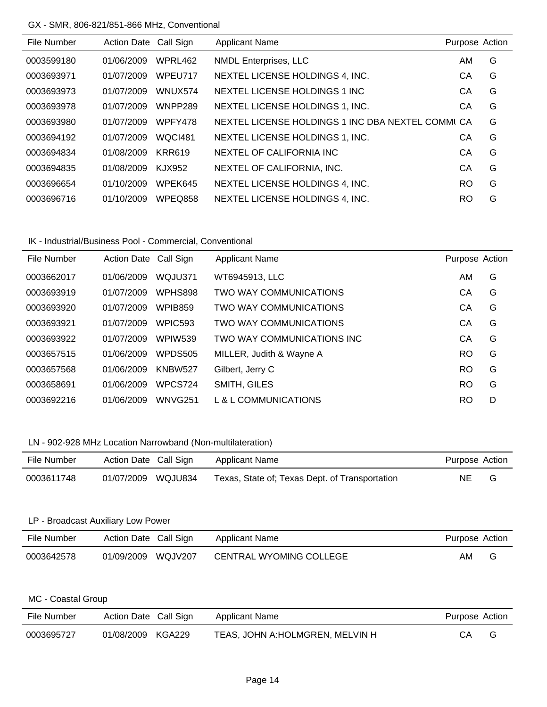### GX - SMR, 806-821/851-866 MHz, Conventional

| File Number | Action Date Call Sign |                | <b>Applicant Name</b>                             | Purpose Action |   |
|-------------|-----------------------|----------------|---------------------------------------------------|----------------|---|
| 0003599180  | 01/06/2009            | WPRL462        | <b>NMDL Enterprises, LLC</b>                      | AM             | G |
| 0003693971  | 01/07/2009            | WPEU717        | NEXTEL LICENSE HOLDINGS 4, INC.                   | CА             | G |
| 0003693973  | 01/07/2009            | WNUX574        | NEXTEL LICENSE HOLDINGS 1 INC                     | CА             | G |
| 0003693978  | 01/07/2009            | WNPP289        | NEXTEL LICENSE HOLDINGS 1, INC.                   | CА             | G |
| 0003693980  | 01/07/2009            | WPFY478        | NEXTEL LICENSE HOLDINGS 1 INC DBA NEXTEL COMMI CA |                | G |
| 0003694192  | 01/07/2009            | <b>WQCI481</b> | NEXTEL LICENSE HOLDINGS 1, INC.                   | CА             | G |
| 0003694834  | 01/08/2009            | <b>KRR619</b>  | NEXTEL OF CALIFORNIA INC.                         | СA             | G |
| 0003694835  | 01/08/2009            | <b>KJX952</b>  | NEXTEL OF CALIFORNIA, INC.                        | CA             | G |
| 0003696654  | 01/10/2009            | WPEK645        | NEXTEL LICENSE HOLDINGS 4, INC.                   | RO.            | G |
| 0003696716  | 01/10/2009            | WPEQ858        | NEXTEL LICENSE HOLDINGS 4, INC.                   | <b>RO</b>      | G |

### IK - Industrial/Business Pool - Commercial, Conventional

| File Number | Action Date Call Sign |                | <b>Applicant Name</b>      | Purpose Action |   |
|-------------|-----------------------|----------------|----------------------------|----------------|---|
| 0003662017  | 01/06/2009            | WQJU371        | WT6945913, LLC             | AM             | G |
| 0003693919  | 01/07/2009            | WPHS898        | TWO WAY COMMUNICATIONS     | CА             | G |
| 0003693920  | 01/07/2009            | <b>WPIB859</b> | TWO WAY COMMUNICATIONS     | СA             | G |
| 0003693921  | 01/07/2009            | WPIC593        | TWO WAY COMMUNICATIONS     | CА             | G |
| 0003693922  | 01/07/2009            | WPIW539        | TWO WAY COMMUNICATIONS INC | CА             | G |
| 0003657515  | 01/06/2009            | <b>WPDS505</b> | MILLER, Judith & Wayne A   | <b>RO</b>      | G |
| 0003657568  | 01/06/2009            | <b>KNBW527</b> | Gilbert, Jerry C           | <b>RO</b>      | G |
| 0003658691  | 01/06/2009            | WPCS724        | SMITH, GILES               | <b>RO</b>      | G |
| 0003692216  | 01/06/2009            | WNVG251        | L & L COMMUNICATIONS       | RO             | D |

# LN - 902-928 MHz Location Narrowband (Non-multilateration)

| File Number | Action Date Call Sign | Applicant Name                                 | Purpose Action |  |
|-------------|-----------------------|------------------------------------------------|----------------|--|
| 0003611748  | 01/07/2009 WQJU834    | Texas, State of; Texas Dept. of Transportation | NE.            |  |

### LP - Broadcast Auxiliary Low Power

| File Number | Action Date Call Sign |         | Applicant Name          | Purpose Action |   |
|-------------|-----------------------|---------|-------------------------|----------------|---|
| 0003642578  | 01/09/2009            | WQJV207 | CENTRAL WYOMING COLLEGE | AM             | G |

#### MC - Coastal Group

| File Number | Action Date Call Sign |        | Applicant Name                   | Purpose Action |   |
|-------------|-----------------------|--------|----------------------------------|----------------|---|
| 0003695727  | 01/08/2009            | KGA229 | TEAS, JOHN A: HOLMGREN, MELVIN H | CA.            | G |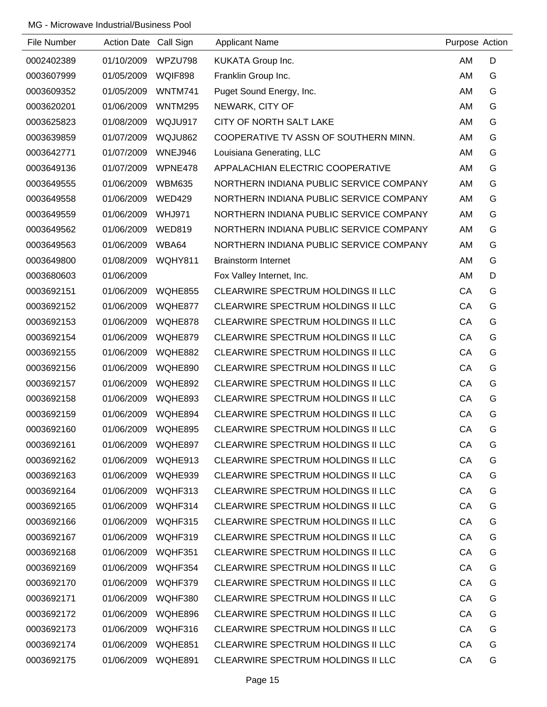| File Number | <b>Action Date</b> | Call Sign      | <b>Applicant Name</b>                     | Purpose Action |   |
|-------------|--------------------|----------------|-------------------------------------------|----------------|---|
| 0002402389  | 01/10/2009         | WPZU798        | KUKATA Group Inc.                         | AM             | D |
| 0003607999  | 01/05/2009         | WQIF898        | Franklin Group Inc.                       | AM             | G |
| 0003609352  | 01/05/2009         | <b>WNTM741</b> | Puget Sound Energy, Inc.                  | AM             | G |
| 0003620201  | 01/06/2009         | <b>WNTM295</b> | NEWARK, CITY OF                           | AM             | G |
| 0003625823  | 01/08/2009         | WQJU917        | CITY OF NORTH SALT LAKE                   | AM             | G |
| 0003639859  | 01/07/2009         | WQJU862        | COOPERATIVE TV ASSN OF SOUTHERN MINN.     | AM             | G |
| 0003642771  | 01/07/2009         | WNEJ946        | Louisiana Generating, LLC                 | AM             | G |
| 0003649136  | 01/07/2009         | WPNE478        | APPALACHIAN ELECTRIC COOPERATIVE          | AM             | G |
| 0003649555  | 01/06/2009         | <b>WBM635</b>  | NORTHERN INDIANA PUBLIC SERVICE COMPANY   | AM             | G |
| 0003649558  | 01/06/2009         | <b>WED429</b>  | NORTHERN INDIANA PUBLIC SERVICE COMPANY   | AM             | G |
| 0003649559  | 01/06/2009         | <b>WHJ971</b>  | NORTHERN INDIANA PUBLIC SERVICE COMPANY   | AM             | G |
| 0003649562  | 01/06/2009         | <b>WED819</b>  | NORTHERN INDIANA PUBLIC SERVICE COMPANY   | AM             | G |
| 0003649563  | 01/06/2009         | WBA64          | NORTHERN INDIANA PUBLIC SERVICE COMPANY   | AM             | G |
| 0003649800  | 01/08/2009         | <b>WQHY811</b> | <b>Brainstorm Internet</b>                | AM             | G |
| 0003680603  | 01/06/2009         |                | Fox Valley Internet, Inc.                 | AM             | D |
| 0003692151  | 01/06/2009         | WQHE855        | CLEARWIRE SPECTRUM HOLDINGS II LLC        | CA             | G |
| 0003692152  | 01/06/2009         | WQHE877        | <b>CLEARWIRE SPECTRUM HOLDINGS II LLC</b> | CA             | G |
| 0003692153  | 01/06/2009         | WQHE878        | CLEARWIRE SPECTRUM HOLDINGS II LLC        | CA             | G |
| 0003692154  | 01/06/2009         | WQHE879        | CLEARWIRE SPECTRUM HOLDINGS II LLC        | CA             | G |
| 0003692155  | 01/06/2009         | WQHE882        | CLEARWIRE SPECTRUM HOLDINGS II LLC        | CA             | G |
| 0003692156  | 01/06/2009         | <b>WQHE890</b> | CLEARWIRE SPECTRUM HOLDINGS II LLC        | CA             | G |
| 0003692157  | 01/06/2009         | WQHE892        | CLEARWIRE SPECTRUM HOLDINGS II LLC        | CA             | G |
| 0003692158  | 01/06/2009         | WQHE893        | CLEARWIRE SPECTRUM HOLDINGS II LLC        | CA             | G |
| 0003692159  | 01/06/2009         | WQHE894        | CLEARWIRE SPECTRUM HOLDINGS II LLC        | СA             | G |
| 0003692160  | 01/06/2009         | WQHE895        | CLEARWIRE SPECTRUM HOLDINGS II LLC        | CA             | G |
| 0003692161  | 01/06/2009         | WQHE897        | CLEARWIRE SPECTRUM HOLDINGS II LLC        | CA             | G |
| 0003692162  | 01/06/2009         | WQHE913        | CLEARWIRE SPECTRUM HOLDINGS II LLC        | CA             | G |
| 0003692163  | 01/06/2009         | WQHE939        | <b>CLEARWIRE SPECTRUM HOLDINGS II LLC</b> | CA             | G |
| 0003692164  | 01/06/2009         | WQHF313        | CLEARWIRE SPECTRUM HOLDINGS II LLC        | CA             | G |
| 0003692165  | 01/06/2009         | WQHF314        | <b>CLEARWIRE SPECTRUM HOLDINGS II LLC</b> | CA             | G |
| 0003692166  | 01/06/2009         | WQHF315        | CLEARWIRE SPECTRUM HOLDINGS II LLC        | CA             | G |
| 0003692167  | 01/06/2009         | WQHF319        | CLEARWIRE SPECTRUM HOLDINGS II LLC        | CA             | G |
| 0003692168  | 01/06/2009         | WQHF351        | CLEARWIRE SPECTRUM HOLDINGS II LLC        | CA             | G |
| 0003692169  | 01/06/2009         | WQHF354        | CLEARWIRE SPECTRUM HOLDINGS II LLC        | CA             | G |
| 0003692170  | 01/06/2009         | WQHF379        | CLEARWIRE SPECTRUM HOLDINGS II LLC        | CA             | G |
| 0003692171  | 01/06/2009         | WQHF380        | CLEARWIRE SPECTRUM HOLDINGS II LLC        | CA             | G |
| 0003692172  | 01/06/2009         | WQHE896        | CLEARWIRE SPECTRUM HOLDINGS II LLC        | CA             | G |
| 0003692173  | 01/06/2009         | WQHF316        | CLEARWIRE SPECTRUM HOLDINGS II LLC        | CA             | G |
| 0003692174  | 01/06/2009         | WQHE851        | <b>CLEARWIRE SPECTRUM HOLDINGS II LLC</b> | CA             | G |
| 0003692175  | 01/06/2009         | WQHE891        | CLEARWIRE SPECTRUM HOLDINGS II LLC        | CA             | G |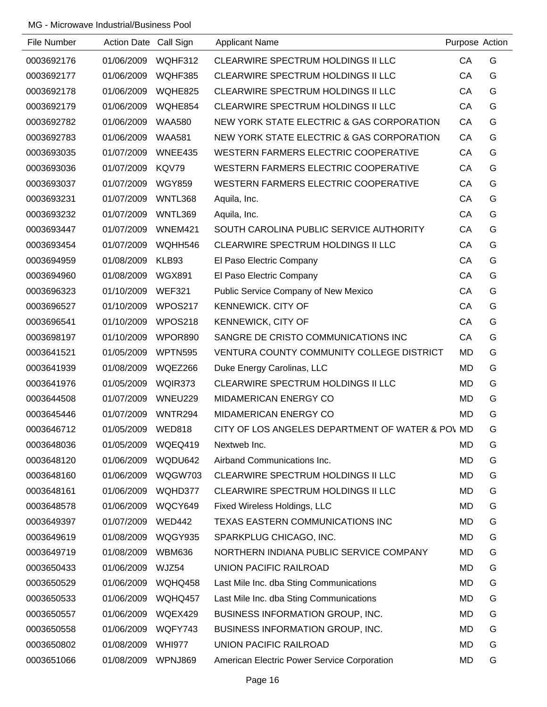| File Number | Action Date Call Sign |                | <b>Applicant Name</b>                            | Purpose Action |   |
|-------------|-----------------------|----------------|--------------------------------------------------|----------------|---|
| 0003692176  | 01/06/2009            | WQHF312        | CLEARWIRE SPECTRUM HOLDINGS II LLC               | CA             | G |
| 0003692177  | 01/06/2009            | WQHF385        | CLEARWIRE SPECTRUM HOLDINGS II LLC               | CA             | G |
| 0003692178  | 01/06/2009            | WQHE825        | CLEARWIRE SPECTRUM HOLDINGS II LLC               | CA             | G |
| 0003692179  | 01/06/2009            | WQHE854        | CLEARWIRE SPECTRUM HOLDINGS II LLC               | CA             | G |
| 0003692782  | 01/06/2009            | <b>WAA580</b>  | NEW YORK STATE ELECTRIC & GAS CORPORATION        | CA             | G |
| 0003692783  | 01/06/2009            | <b>WAA581</b>  | NEW YORK STATE ELECTRIC & GAS CORPORATION        | CA             | G |
| 0003693035  | 01/07/2009            | WNEE435        | WESTERN FARMERS ELECTRIC COOPERATIVE             | CA             | G |
| 0003693036  | 01/07/2009            | KQV79          | WESTERN FARMERS ELECTRIC COOPERATIVE             | CA             | G |
| 0003693037  | 01/07/2009            | <b>WGY859</b>  | WESTERN FARMERS ELECTRIC COOPERATIVE             | CA             | G |
| 0003693231  | 01/07/2009            | WNTL368        | Aquila, Inc.                                     | CA             | G |
| 0003693232  | 01/07/2009            | WNTL369        | Aquila, Inc.                                     | CA             | G |
| 0003693447  | 01/07/2009            | WNEM421        | SOUTH CAROLINA PUBLIC SERVICE AUTHORITY          | CA             | G |
| 0003693454  | 01/07/2009            | WQHH546        | CLEARWIRE SPECTRUM HOLDINGS II LLC               | CA             | G |
| 0003694959  | 01/08/2009            | KLB93          | El Paso Electric Company                         | CA             | G |
| 0003694960  | 01/08/2009            | <b>WGX891</b>  | El Paso Electric Company                         | CA             | G |
| 0003696323  | 01/10/2009            | <b>WEF321</b>  | Public Service Company of New Mexico             | CA             | G |
| 0003696527  | 01/10/2009            | WPOS217        | <b>KENNEWICK. CITY OF</b>                        | CA             | G |
| 0003696541  | 01/10/2009            | WPOS218        | KENNEWICK, CITY OF                               | CA             | G |
| 0003698197  | 01/10/2009            | WPOR890        | SANGRE DE CRISTO COMMUNICATIONS INC              | CA             | G |
| 0003641521  | 01/05/2009            | <b>WPTN595</b> | VENTURA COUNTY COMMUNITY COLLEGE DISTRICT        | <b>MD</b>      | G |
| 0003641939  | 01/08/2009            | WQEZ266        | Duke Energy Carolinas, LLC                       | MD             | G |
| 0003641976  | 01/05/2009            | WQIR373        | CLEARWIRE SPECTRUM HOLDINGS II LLC               | <b>MD</b>      | G |
| 0003644508  | 01/07/2009            | WNEU229        | <b>MIDAMERICAN ENERGY CO</b>                     | MD             | G |
| 0003645446  | 01/07/2009            | WNTR294        | <b>MIDAMERICAN ENERGY CO</b>                     | MD             | G |
| 0003646712  | 01/05/2009            | <b>WED818</b>  | CITY OF LOS ANGELES DEPARTMENT OF WATER & POV MD |                | G |
| 0003648036  | 01/05/2009            | WQEQ419        | Nextweb Inc.                                     | <b>MD</b>      | G |
| 0003648120  | 01/06/2009            | WQDU642        | Airband Communications Inc.                      | MD             | G |
| 0003648160  | 01/06/2009            | WQGW703        | CLEARWIRE SPECTRUM HOLDINGS II LLC               | MD             | G |
| 0003648161  | 01/06/2009            | WQHD377        | CLEARWIRE SPECTRUM HOLDINGS II LLC               | MD             | G |
| 0003648578  | 01/06/2009            | WQCY649        | Fixed Wireless Holdings, LLC                     | MD             | G |
| 0003649397  | 01/07/2009            | <b>WED442</b>  | TEXAS EASTERN COMMUNICATIONS INC                 | <b>MD</b>      | G |
| 0003649619  | 01/08/2009            | WQGY935        | SPARKPLUG CHICAGO, INC.                          | MD             | G |
| 0003649719  | 01/08/2009            | <b>WBM636</b>  | NORTHERN INDIANA PUBLIC SERVICE COMPANY          | MD             | G |
| 0003650433  | 01/06/2009            | WJZ54          | UNION PACIFIC RAILROAD                           | MD             | G |
| 0003650529  | 01/06/2009            | WQHQ458        | Last Mile Inc. dba Sting Communications          | MD             | G |
| 0003650533  | 01/06/2009            | WQHQ457        | Last Mile Inc. dba Sting Communications          | MD             | G |
| 0003650557  | 01/06/2009            | WQEX429        | BUSINESS INFORMATION GROUP, INC.                 | MD             | G |
| 0003650558  | 01/06/2009            | WQFY743        | BUSINESS INFORMATION GROUP, INC.                 | MD             | G |
| 0003650802  | 01/08/2009            | <b>WHI977</b>  | UNION PACIFIC RAILROAD                           | <b>MD</b>      | G |
| 0003651066  | 01/08/2009            | WPNJ869        | American Electric Power Service Corporation      | <b>MD</b>      | G |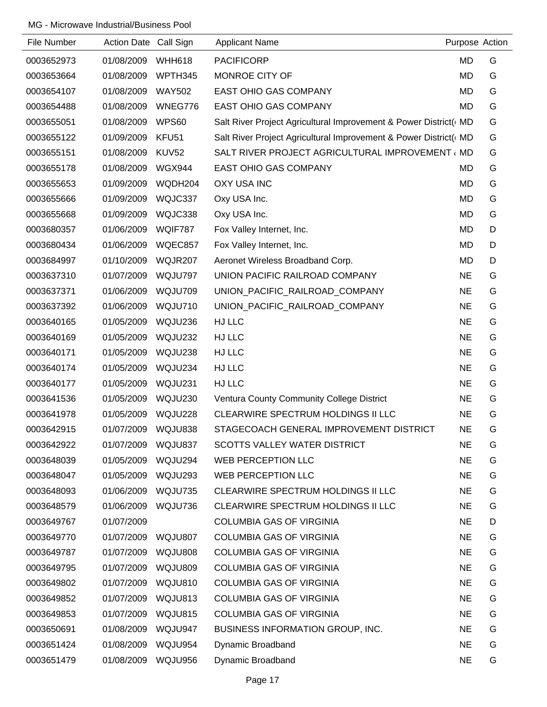| File Number | Action Date Call Sign |                   | <b>Applicant Name</b>                                            | Purpose Action |   |
|-------------|-----------------------|-------------------|------------------------------------------------------------------|----------------|---|
| 0003652973  | 01/08/2009            | <b>WHH618</b>     | <b>PACIFICORP</b>                                                | <b>MD</b>      | G |
| 0003653664  | 01/08/2009            | WPTH345           | MONROE CITY OF                                                   | <b>MD</b>      | G |
| 0003654107  | 01/08/2009            | <b>WAY502</b>     | EAST OHIO GAS COMPANY                                            | <b>MD</b>      | G |
| 0003654488  | 01/08/2009            | WNEG776           | EAST OHIO GAS COMPANY                                            | <b>MD</b>      | G |
| 0003655051  | 01/08/2009            | WPS60             | Salt River Project Agricultural Improvement & Power District( MD |                | G |
| 0003655122  | 01/09/2009            | KFU <sub>51</sub> | Salt River Project Agricultural Improvement & Power District( MD |                | G |
| 0003655151  | 01/08/2009            | <b>KUV52</b>      | SALT RIVER PROJECT AGRICULTURAL IMPROVEMENT (MD                  |                | G |
| 0003655178  | 01/08/2009            | <b>WGX944</b>     | <b>EAST OHIO GAS COMPANY</b>                                     | MD             | G |
| 0003655653  | 01/09/2009            | WQDH204           | <b>OXY USA INC</b>                                               | <b>MD</b>      | G |
| 0003655666  | 01/09/2009            | WQJC337           | Oxy USA Inc.                                                     | <b>MD</b>      | G |
| 0003655668  | 01/09/2009            | WQJC338           | Oxy USA Inc.                                                     | <b>MD</b>      | G |
| 0003680357  | 01/06/2009            | WQIF787           | Fox Valley Internet, Inc.                                        | <b>MD</b>      | D |
| 0003680434  | 01/06/2009            | WQEC857           | Fox Valley Internet, Inc.                                        | <b>MD</b>      | D |
| 0003684997  | 01/10/2009            | <b>WQJR207</b>    | Aeronet Wireless Broadband Corp.                                 | <b>MD</b>      | D |
| 0003637310  | 01/07/2009            | WQJU797           | UNION PACIFIC RAILROAD COMPANY                                   | <b>NE</b>      | G |
| 0003637371  | 01/06/2009            | WQJU709           | UNION_PACIFIC_RAILROAD_COMPANY                                   | <b>NE</b>      | G |
| 0003637392  | 01/06/2009            | WQJU710           | UNION_PACIFIC_RAILROAD_COMPANY                                   | <b>NE</b>      | G |
| 0003640165  | 01/05/2009            | WQJU236           | HJ LLC                                                           | <b>NE</b>      | G |
| 0003640169  | 01/05/2009            | WQJU232           | HJ LLC                                                           | <b>NE</b>      | G |
| 0003640171  | 01/05/2009            | WQJU238           | HJ LLC                                                           | <b>NE</b>      | G |
| 0003640174  | 01/05/2009            | WQJU234           | HJ LLC                                                           | <b>NE</b>      | G |
| 0003640177  | 01/05/2009            | WQJU231           | HJ LLC                                                           | <b>NE</b>      | G |
| 0003641536  | 01/05/2009            | WQJU230           | Ventura County Community College District                        | <b>NE</b>      | G |
| 0003641978  | 01/05/2009            | WQJU228           | CLEARWIRE SPECTRUM HOLDINGS II LLC                               | <b>NE</b>      | G |
| 0003642915  | 01/07/2009            | WQJU838           | STAGECOACH GENERAL IMPROVEMENT DISTRICT                          | <b>NE</b>      | G |
| 0003642922  | 01/07/2009            | WQJU837           | <b>SCOTTS VALLEY WATER DISTRICT</b>                              | <b>NE</b>      | G |
| 0003648039  | 01/05/2009            | WQJU294           | <b>WEB PERCEPTION LLC</b>                                        | <b>NE</b>      | G |
| 0003648047  | 01/05/2009            | WQJU293           | <b>WEB PERCEPTION LLC</b>                                        | <b>NE</b>      | G |
| 0003648093  | 01/06/2009            | WQJU735           | CLEARWIRE SPECTRUM HOLDINGS II LLC                               | <b>NE</b>      | G |
| 0003648579  | 01/06/2009            | WQJU736           | CLEARWIRE SPECTRUM HOLDINGS II LLC                               | <b>NE</b>      | G |
| 0003649767  | 01/07/2009            |                   | <b>COLUMBIA GAS OF VIRGINIA</b>                                  | <b>NE</b>      | D |
| 0003649770  | 01/07/2009            | WQJU807           | <b>COLUMBIA GAS OF VIRGINIA</b>                                  | <b>NE</b>      | G |
| 0003649787  | 01/07/2009            | WQJU808           | <b>COLUMBIA GAS OF VIRGINIA</b>                                  | <b>NE</b>      | G |
| 0003649795  | 01/07/2009            | WQJU809           | <b>COLUMBIA GAS OF VIRGINIA</b>                                  | <b>NE</b>      | G |
| 0003649802  | 01/07/2009            | WQJU810           | <b>COLUMBIA GAS OF VIRGINIA</b>                                  | <b>NE</b>      | G |
| 0003649852  | 01/07/2009            | WQJU813           | <b>COLUMBIA GAS OF VIRGINIA</b>                                  | <b>NE</b>      | G |
| 0003649853  | 01/07/2009            | WQJU815           | <b>COLUMBIA GAS OF VIRGINIA</b>                                  | <b>NE</b>      | G |
| 0003650691  | 01/08/2009            | WQJU947           | BUSINESS INFORMATION GROUP, INC.                                 | <b>NE</b>      | G |
| 0003651424  | 01/08/2009            | WQJU954           | Dynamic Broadband                                                | <b>NE</b>      | G |
| 0003651479  | 01/08/2009            | WQJU956           | Dynamic Broadband                                                | <b>NE</b>      | G |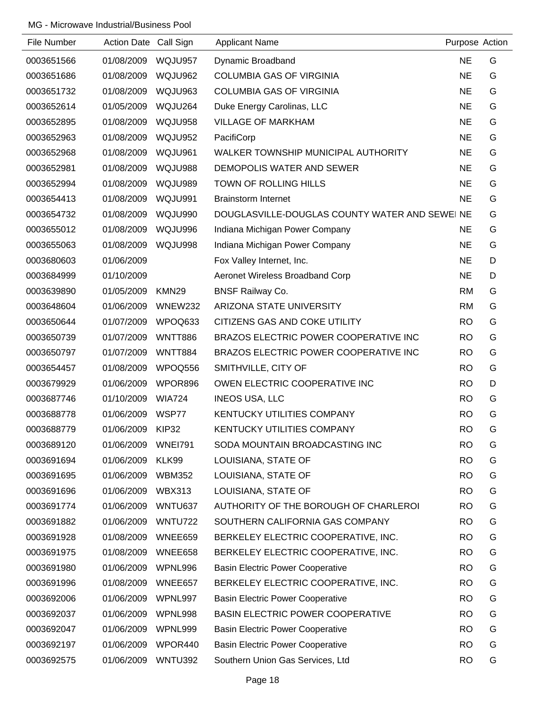| File Number | Action Date Call Sign |                   | <b>Applicant Name</b>                          | Purpose Action |   |
|-------------|-----------------------|-------------------|------------------------------------------------|----------------|---|
| 0003651566  | 01/08/2009            | WQJU957           | Dynamic Broadband                              | <b>NE</b>      | G |
| 0003651686  | 01/08/2009            | WQJU962           | <b>COLUMBIA GAS OF VIRGINIA</b>                | <b>NE</b>      | G |
| 0003651732  | 01/08/2009            | WQJU963           | <b>COLUMBIA GAS OF VIRGINIA</b>                | <b>NE</b>      | G |
| 0003652614  | 01/05/2009            | WQJU264           | Duke Energy Carolinas, LLC                     | <b>NE</b>      | G |
| 0003652895  | 01/08/2009            | WQJU958           | <b>VILLAGE OF MARKHAM</b>                      | <b>NE</b>      | G |
| 0003652963  | 01/08/2009            | WQJU952           | PacifiCorp                                     | <b>NE</b>      | G |
| 0003652968  | 01/08/2009            | WQJU961           | WALKER TOWNSHIP MUNICIPAL AUTHORITY            | <b>NE</b>      | G |
| 0003652981  | 01/08/2009            | WQJU988           | DEMOPOLIS WATER AND SEWER                      | <b>NE</b>      | G |
| 0003652994  | 01/08/2009            | WQJU989           | <b>TOWN OF ROLLING HILLS</b>                   | <b>NE</b>      | G |
| 0003654413  | 01/08/2009            | WQJU991           | <b>Brainstorm Internet</b>                     | <b>NE</b>      | G |
| 0003654732  | 01/08/2009            | WQJU990           | DOUGLASVILLE-DOUGLAS COUNTY WATER AND SEWEI NE |                | G |
| 0003655012  | 01/08/2009            | WQJU996           | Indiana Michigan Power Company                 | <b>NE</b>      | G |
| 0003655063  | 01/08/2009            | WQJU998           | Indiana Michigan Power Company                 | <b>NE</b>      | G |
| 0003680603  | 01/06/2009            |                   | Fox Valley Internet, Inc.                      | <b>NE</b>      | D |
| 0003684999  | 01/10/2009            |                   | Aeronet Wireless Broadband Corp                | <b>NE</b>      | D |
| 0003639890  | 01/05/2009            | KMN <sub>29</sub> | <b>BNSF Railway Co.</b>                        | <b>RM</b>      | G |
| 0003648604  | 01/06/2009            | WNEW232           | ARIZONA STATE UNIVERSITY                       | <b>RM</b>      | G |
| 0003650644  | 01/07/2009            | WPOQ633           | CITIZENS GAS AND COKE UTILITY                  | <b>RO</b>      | G |
| 0003650739  | 01/07/2009            | <b>WNTT886</b>    | BRAZOS ELECTRIC POWER COOPERATIVE INC          | <b>RO</b>      | G |
| 0003650797  | 01/07/2009            | <b>WNTT884</b>    | BRAZOS ELECTRIC POWER COOPERATIVE INC          | <b>RO</b>      | G |
| 0003654457  | 01/08/2009            | WPOQ556           | SMITHVILLE, CITY OF                            | <b>RO</b>      | G |
| 0003679929  | 01/06/2009            | WPOR896           | OWEN ELECTRIC COOPERATIVE INC                  | <b>RO</b>      | D |
| 0003687746  | 01/10/2009            | <b>WIA724</b>     | <b>INEOS USA, LLC</b>                          | <b>RO</b>      | G |
| 0003688778  | 01/06/2009            | WSP77             | <b>KENTUCKY UTILITIES COMPANY</b>              | <b>RO</b>      | G |
| 0003688779  | 01/06/2009            | KIP32             | <b>KENTUCKY UTILITIES COMPANY</b>              | <b>RO</b>      | G |
| 0003689120  | 01/06/2009            | <b>WNEI791</b>    | SODA MOUNTAIN BROADCASTING INC                 | <b>RO</b>      | G |
| 0003691694  | 01/06/2009            | KLK99             | LOUISIANA, STATE OF                            | <b>RO</b>      | G |
| 0003691695  | 01/06/2009            | <b>WBM352</b>     | LOUISIANA, STATE OF                            | <b>RO</b>      | G |
| 0003691696  | 01/06/2009            | <b>WBX313</b>     | LOUISIANA, STATE OF                            | <b>RO</b>      | G |
| 0003691774  | 01/06/2009            | WNTU637           | AUTHORITY OF THE BOROUGH OF CHARLEROI          | <b>RO</b>      | G |
| 0003691882  | 01/06/2009            | <b>WNTU722</b>    | SOUTHERN CALIFORNIA GAS COMPANY                | <b>RO</b>      | G |
| 0003691928  | 01/08/2009            | WNEE659           | BERKELEY ELECTRIC COOPERATIVE, INC.            | <b>RO</b>      | G |
| 0003691975  | 01/08/2009            | WNEE658           | BERKELEY ELECTRIC COOPERATIVE, INC.            | <b>RO</b>      | G |
| 0003691980  | 01/06/2009            | WPNL996           | <b>Basin Electric Power Cooperative</b>        | <b>RO</b>      | G |
| 0003691996  | 01/08/2009            | WNEE657           | BERKELEY ELECTRIC COOPERATIVE, INC.            | <b>RO</b>      | G |
| 0003692006  | 01/06/2009            | WPNL997           | <b>Basin Electric Power Cooperative</b>        | <b>RO</b>      | G |
| 0003692037  | 01/06/2009            | WPNL998           | BASIN ELECTRIC POWER COOPERATIVE               | <b>RO</b>      | G |
| 0003692047  | 01/06/2009            | WPNL999           | <b>Basin Electric Power Cooperative</b>        | <b>RO</b>      | G |
| 0003692197  | 01/06/2009            | WPOR440           | <b>Basin Electric Power Cooperative</b>        | <b>RO</b>      | G |
| 0003692575  | 01/06/2009            | WNTU392           | Southern Union Gas Services, Ltd               | <b>RO</b>      | G |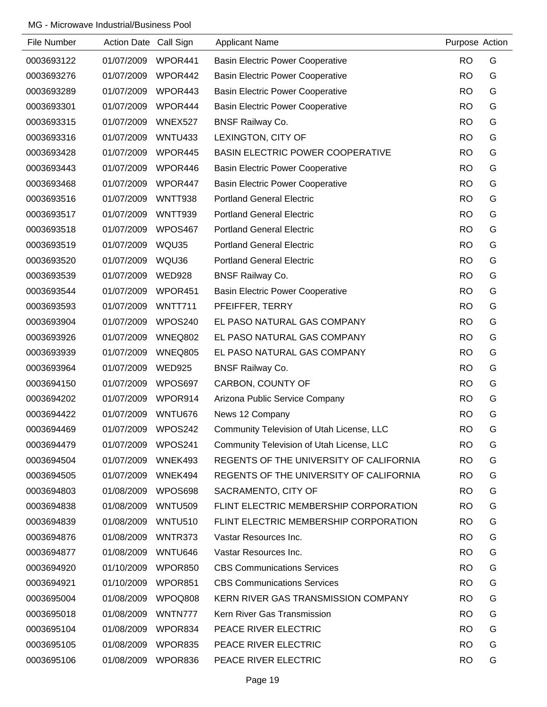| File Number | Action Date Call Sign |                | <b>Applicant Name</b>                     | Purpose Action |   |
|-------------|-----------------------|----------------|-------------------------------------------|----------------|---|
| 0003693122  | 01/07/2009            | WPOR441        | <b>Basin Electric Power Cooperative</b>   | <b>RO</b>      | G |
| 0003693276  | 01/07/2009            | WPOR442        | <b>Basin Electric Power Cooperative</b>   | <b>RO</b>      | G |
| 0003693289  | 01/07/2009            | WPOR443        | <b>Basin Electric Power Cooperative</b>   | <b>RO</b>      | G |
| 0003693301  | 01/07/2009            | WPOR444        | <b>Basin Electric Power Cooperative</b>   | <b>RO</b>      | G |
| 0003693315  | 01/07/2009            | WNEX527        | <b>BNSF Railway Co.</b>                   | <b>RO</b>      | G |
| 0003693316  | 01/07/2009            | <b>WNTU433</b> | LEXINGTON, CITY OF                        | <b>RO</b>      | G |
| 0003693428  | 01/07/2009            | WPOR445        | <b>BASIN ELECTRIC POWER COOPERATIVE</b>   | <b>RO</b>      | G |
| 0003693443  | 01/07/2009            | WPOR446        | <b>Basin Electric Power Cooperative</b>   | <b>RO</b>      | G |
| 0003693468  | 01/07/2009            | WPOR447        | <b>Basin Electric Power Cooperative</b>   | <b>RO</b>      | G |
| 0003693516  | 01/07/2009            | <b>WNTT938</b> | <b>Portland General Electric</b>          | <b>RO</b>      | G |
| 0003693517  | 01/07/2009            | <b>WNTT939</b> | <b>Portland General Electric</b>          | <b>RO</b>      | G |
| 0003693518  | 01/07/2009            | WPOS467        | <b>Portland General Electric</b>          | <b>RO</b>      | G |
| 0003693519  | 01/07/2009            | WQU35          | <b>Portland General Electric</b>          | <b>RO</b>      | G |
| 0003693520  | 01/07/2009            | WQU36          | <b>Portland General Electric</b>          | <b>RO</b>      | G |
| 0003693539  | 01/07/2009            | <b>WED928</b>  | <b>BNSF Railway Co.</b>                   | <b>RO</b>      | G |
| 0003693544  | 01/07/2009            | WPOR451        | <b>Basin Electric Power Cooperative</b>   | <b>RO</b>      | G |
| 0003693593  | 01/07/2009            | <b>WNTT711</b> | PFEIFFER, TERRY                           | <b>RO</b>      | G |
| 0003693904  | 01/07/2009            | WPOS240        | EL PASO NATURAL GAS COMPANY               | <b>RO</b>      | G |
| 0003693926  | 01/07/2009            | WNEQ802        | EL PASO NATURAL GAS COMPANY               | <b>RO</b>      | G |
| 0003693939  | 01/07/2009            | WNEQ805        | EL PASO NATURAL GAS COMPANY               | <b>RO</b>      | G |
| 0003693964  | 01/07/2009            | <b>WED925</b>  | <b>BNSF Railway Co.</b>                   | <b>RO</b>      | G |
| 0003694150  | 01/07/2009            | WPOS697        | CARBON, COUNTY OF                         | <b>RO</b>      | G |
| 0003694202  | 01/07/2009            | WPOR914        | Arizona Public Service Company            | <b>RO</b>      | G |
| 0003694422  | 01/07/2009            | WNTU676        | News 12 Company                           | <b>RO</b>      | G |
| 0003694469  | 01/07/2009            | WPOS242        | Community Television of Utah License, LLC | <b>RO</b>      | G |
| 0003694479  | 01/07/2009            | WPOS241        | Community Television of Utah License, LLC | <b>RO</b>      | G |
| 0003694504  | 01/07/2009            | WNEK493        | REGENTS OF THE UNIVERSITY OF CALIFORNIA   | <b>RO</b>      | G |
| 0003694505  | 01/07/2009            | WNEK494        | REGENTS OF THE UNIVERSITY OF CALIFORNIA   | <b>RO</b>      | G |
| 0003694803  | 01/08/2009            | WPOS698        | SACRAMENTO, CITY OF                       | <b>RO</b>      | G |
| 0003694838  | 01/08/2009            | <b>WNTU509</b> | FLINT ELECTRIC MEMBERSHIP CORPORATION     | <b>RO</b>      | G |
| 0003694839  | 01/08/2009            | <b>WNTU510</b> | FLINT ELECTRIC MEMBERSHIP CORPORATION     | <b>RO</b>      | G |
| 0003694876  | 01/08/2009            | WNTR373        | Vastar Resources Inc.                     | <b>RO</b>      | G |
| 0003694877  | 01/08/2009            | WNTU646        | Vastar Resources Inc.                     | <b>RO</b>      | G |
| 0003694920  | 01/10/2009            | WPOR850        | <b>CBS Communications Services</b>        | <b>RO</b>      | G |
| 0003694921  | 01/10/2009            | WPOR851        | <b>CBS Communications Services</b>        | <b>RO</b>      | G |
| 0003695004  | 01/08/2009            | WPOQ808        | KERN RIVER GAS TRANSMISSION COMPANY       | <b>RO</b>      | G |
| 0003695018  | 01/08/2009            | WNTN777        | Kern River Gas Transmission               | <b>RO</b>      | G |
| 0003695104  | 01/08/2009            | WPOR834        | PEACE RIVER ELECTRIC                      | <b>RO</b>      | G |
| 0003695105  | 01/08/2009            | WPOR835        | PEACE RIVER ELECTRIC                      | <b>RO</b>      | G |
| 0003695106  | 01/08/2009            | WPOR836        | PEACE RIVER ELECTRIC                      | <b>RO</b>      | G |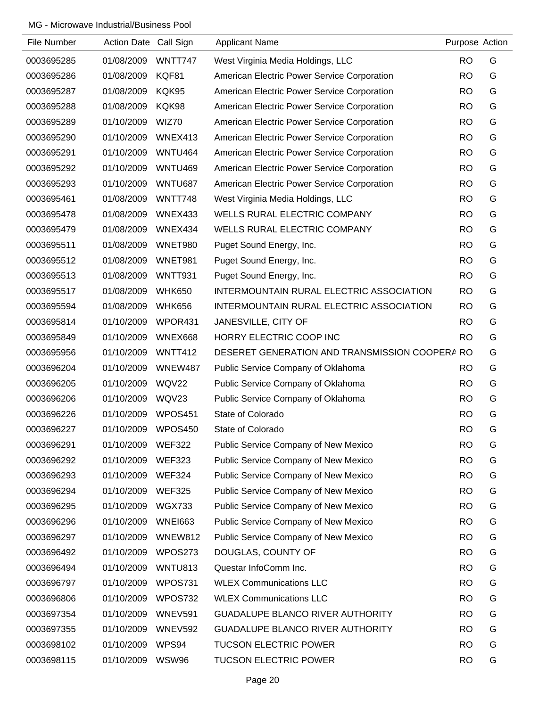| File Number | Action Date Call Sign |                | <b>Applicant Name</b>                          | Purpose Action |   |
|-------------|-----------------------|----------------|------------------------------------------------|----------------|---|
| 0003695285  | 01/08/2009            | WNTT747        | West Virginia Media Holdings, LLC              | <b>RO</b>      | G |
| 0003695286  | 01/08/2009            | KQF81          | American Electric Power Service Corporation    | <b>RO</b>      | G |
| 0003695287  | 01/08/2009            | KQK95          | American Electric Power Service Corporation    | <b>RO</b>      | G |
| 0003695288  | 01/08/2009            | KQK98          | American Electric Power Service Corporation    | <b>RO</b>      | G |
| 0003695289  | 01/10/2009            | WIZ70          | American Electric Power Service Corporation    | <b>RO</b>      | G |
| 0003695290  | 01/10/2009            | WNEX413        | American Electric Power Service Corporation    | <b>RO</b>      | G |
| 0003695291  | 01/10/2009            | WNTU464        | American Electric Power Service Corporation    | <b>RO</b>      | G |
| 0003695292  | 01/10/2009            | <b>WNTU469</b> | American Electric Power Service Corporation    | <b>RO</b>      | G |
| 0003695293  | 01/10/2009            | WNTU687        | American Electric Power Service Corporation    | <b>RO</b>      | G |
| 0003695461  | 01/08/2009            | WNTT748        | West Virginia Media Holdings, LLC              | <b>RO</b>      | G |
| 0003695478  | 01/08/2009            | WNEX433        | WELLS RURAL ELECTRIC COMPANY                   | <b>RO</b>      | G |
| 0003695479  | 01/08/2009            | WNEX434        | WELLS RURAL ELECTRIC COMPANY                   | <b>RO</b>      | G |
| 0003695511  | 01/08/2009            | WNET980        | Puget Sound Energy, Inc.                       | <b>RO</b>      | G |
| 0003695512  | 01/08/2009            | WNET981        | Puget Sound Energy, Inc.                       | <b>RO</b>      | G |
| 0003695513  | 01/08/2009            | <b>WNTT931</b> | Puget Sound Energy, Inc.                       | <b>RO</b>      | G |
| 0003695517  | 01/08/2009            | <b>WHK650</b>  | INTERMOUNTAIN RURAL ELECTRIC ASSOCIATION       | <b>RO</b>      | G |
| 0003695594  | 01/08/2009            | <b>WHK656</b>  | INTERMOUNTAIN RURAL ELECTRIC ASSOCIATION       | <b>RO</b>      | G |
| 0003695814  | 01/10/2009            | WPOR431        | JANESVILLE, CITY OF                            | <b>RO</b>      | G |
| 0003695849  | 01/10/2009            | WNEX668        | HORRY ELECTRIC COOP INC                        | <b>RO</b>      | G |
| 0003695956  | 01/10/2009            | WNTT412        | DESERET GENERATION AND TRANSMISSION COOPERA RO |                | G |
| 0003696204  | 01/10/2009            | WNEW487        | Public Service Company of Oklahoma             | <b>RO</b>      | G |
| 0003696205  | 01/10/2009            | WQV22          | Public Service Company of Oklahoma             | <b>RO</b>      | G |
| 0003696206  | 01/10/2009            | WQV23          | Public Service Company of Oklahoma             | <b>RO</b>      | G |
| 0003696226  | 01/10/2009            | WPOS451        | State of Colorado                              | <b>RO</b>      | G |
| 0003696227  | 01/10/2009            | WPOS450        | State of Colorado                              | <b>RO</b>      | G |
| 0003696291  | 01/10/2009            | <b>WEF322</b>  | Public Service Company of New Mexico           | <b>RO</b>      | G |
| 0003696292  | 01/10/2009            | <b>WEF323</b>  | Public Service Company of New Mexico           | <b>RO</b>      | G |
| 0003696293  | 01/10/2009            | <b>WEF324</b>  | Public Service Company of New Mexico           | <b>RO</b>      | G |
| 0003696294  | 01/10/2009            | <b>WEF325</b>  | Public Service Company of New Mexico           | <b>RO</b>      | G |
| 0003696295  | 01/10/2009            | <b>WGX733</b>  | Public Service Company of New Mexico           | <b>RO</b>      | G |
| 0003696296  | 01/10/2009            | <b>WNEI663</b> | Public Service Company of New Mexico           | <b>RO</b>      | G |
| 0003696297  | 01/10/2009            | WNEW812        | Public Service Company of New Mexico           | <b>RO</b>      | G |
| 0003696492  | 01/10/2009            | WPOS273        | DOUGLAS, COUNTY OF                             | <b>RO</b>      | G |
| 0003696494  | 01/10/2009            | WNTU813        | Questar InfoComm Inc.                          | <b>RO</b>      | G |
| 0003696797  | 01/10/2009            | WPOS731        | <b>WLEX Communications LLC</b>                 | <b>RO</b>      | G |
| 0003696806  | 01/10/2009            | WPOS732        | <b>WLEX Communications LLC</b>                 | <b>RO</b>      | G |
| 0003697354  | 01/10/2009            | WNEV591        | <b>GUADALUPE BLANCO RIVER AUTHORITY</b>        | <b>RO</b>      | G |
| 0003697355  | 01/10/2009            | <b>WNEV592</b> | GUADALUPE BLANCO RIVER AUTHORITY               | <b>RO</b>      | G |
| 0003698102  | 01/10/2009            | WPS94          | <b>TUCSON ELECTRIC POWER</b>                   | <b>RO</b>      | G |
| 0003698115  | 01/10/2009            | <b>WSW96</b>   | <b>TUCSON ELECTRIC POWER</b>                   | <b>RO</b>      | G |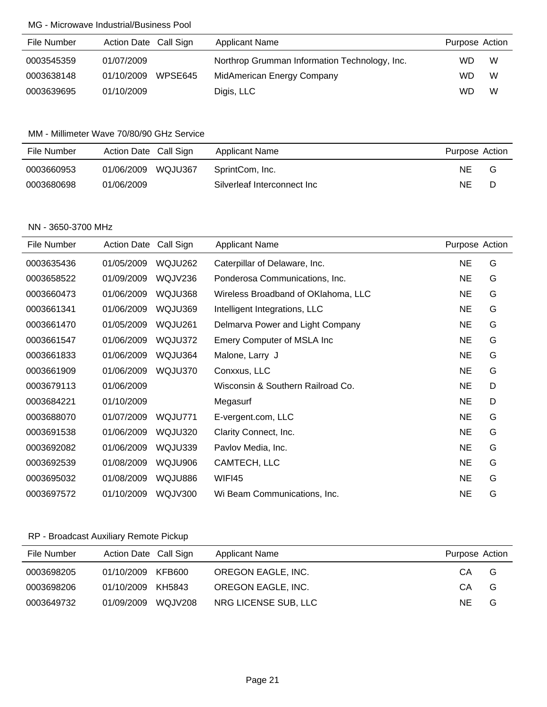| File Number | Action Date Call Sign | <b>Applicant Name</b>                         | Purpose Action |
|-------------|-----------------------|-----------------------------------------------|----------------|
| 0003545359  | 01/07/2009            | Northrop Grumman Information Technology, Inc. | W<br><b>WD</b> |
| 0003638148  | WPSE645<br>01/10/2009 | MidAmerican Energy Company                    | W<br><b>WD</b> |
| 0003639695  | 01/10/2009            | Digis, LLC                                    | W<br>WD        |

### MM - Millimeter Wave 70/80/90 GHz Service

| File Number | Action Date Call Sign | Applicant Name              | Purpose Action |
|-------------|-----------------------|-----------------------------|----------------|
| 0003660953  | WQJU367<br>01/06/2009 | SprintCom, Inc.             | NE<br>G        |
| 0003680698  | 01/06/2009            | Silverleaf Interconnect Inc | NΕ<br>D        |

### NN - 3650-3700 MHz

| File Number | <b>Action Date</b> | Call Sign      | <b>Applicant Name</b>               | Purpose Action |   |
|-------------|--------------------|----------------|-------------------------------------|----------------|---|
| 0003635436  | 01/05/2009         | WQJU262        | Caterpillar of Delaware, Inc.       | <b>NE</b>      | G |
| 0003658522  | 01/09/2009         | WQJV236        | Ponderosa Communications, Inc.      | NE.            | G |
| 0003660473  | 01/06/2009         | WQJU368        | Wireless Broadband of OKlahoma, LLC | <b>NE</b>      | G |
| 0003661341  | 01/06/2009         | WQJU369        | Intelligent Integrations, LLC       | <b>NE</b>      | G |
| 0003661470  | 01/05/2009         | WQJU261        | Delmarva Power and Light Company    | NE.            | G |
| 0003661547  | 01/06/2009         | WQJU372        | Emery Computer of MSLA Inc          | <b>NE</b>      | G |
| 0003661833  | 01/06/2009         | WQJU364        | Malone, Larry J                     | <b>NE</b>      | G |
| 0003661909  | 01/06/2009         | WQJU370        | Conxxus, LLC                        | NE.            | G |
| 0003679113  | 01/06/2009         |                | Wisconsin & Southern Railroad Co.   | NE.            | D |
| 0003684221  | 01/10/2009         |                | Megasurf                            | <b>NE</b>      | D |
| 0003688070  | 01/07/2009         | WQJU771        | E-vergent.com, LLC                  | <b>NE</b>      | G |
| 0003691538  | 01/06/2009         | WQJU320        | Clarity Connect, Inc.               | <b>NE</b>      | G |
| 0003692082  | 01/06/2009         | WQJU339        | Pavlov Media, Inc.                  | NE.            | G |
| 0003692539  | 01/08/2009         | WQJU906        | CAMTECH, LLC                        | <b>NE</b>      | G |
| 0003695032  | 01/08/2009         | WQJU886        | WIFI45                              | <b>NE</b>      | G |
| 0003697572  | 01/10/2009         | <b>WQJV300</b> | Wi Beam Communications, Inc.        | <b>NE</b>      | G |

# RP - Broadcast Auxiliary Remote Pickup

| File Number | Action Date Call Sign |         | <b>Applicant Name</b> | Purpose Action |   |
|-------------|-----------------------|---------|-----------------------|----------------|---|
| 0003698205  | 01/10/2009            | KFB600  | OREGON EAGLE, INC.    | CA             | G |
| 0003698206  | 01/10/2009            | KH5843  | OREGON EAGLE, INC.    | CA.            | G |
| 0003649732  | 01/09/2009            | WQJV208 | NRG LICENSE SUB, LLC  | NE.            | G |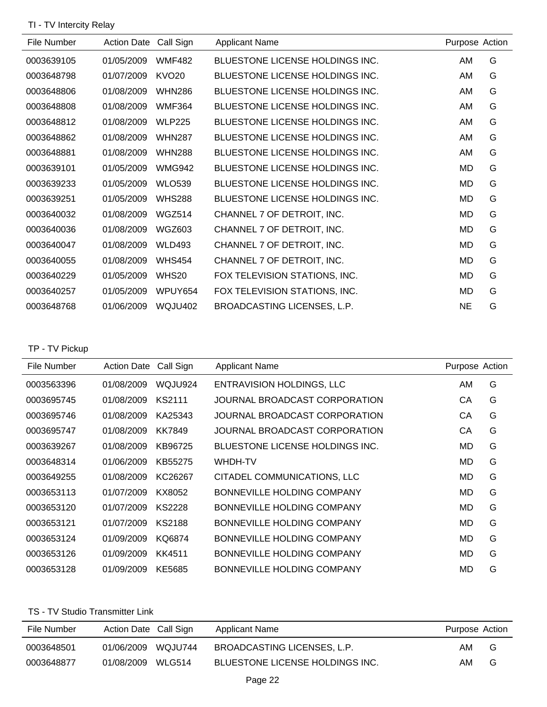TI - TV Intercity Relay

| File Number | <b>Action Date</b> | Call Sign      | <b>Applicant Name</b>           | Purpose Action |   |
|-------------|--------------------|----------------|---------------------------------|----------------|---|
| 0003639105  | 01/05/2009         | <b>WMF482</b>  | BLUESTONE LICENSE HOLDINGS INC. | AM             | G |
| 0003648798  | 01/07/2009         | <b>KVO20</b>   | BLUESTONE LICENSE HOLDINGS INC. | AM             | G |
| 0003648806  | 01/08/2009         | <b>WHN286</b>  | BLUESTONE LICENSE HOLDINGS INC. | AM             | G |
| 0003648808  | 01/08/2009         | <b>WMF364</b>  | BLUESTONE LICENSE HOLDINGS INC. | AM             | G |
| 0003648812  | 01/08/2009         | <b>WLP225</b>  | BLUESTONE LICENSE HOLDINGS INC. | AM             | G |
| 0003648862  | 01/08/2009         | <b>WHN287</b>  | BLUESTONE LICENSE HOLDINGS INC. | AM             | G |
| 0003648881  | 01/08/2009         | <b>WHN288</b>  | BLUESTONE LICENSE HOLDINGS INC. | AM             | G |
| 0003639101  | 01/05/2009         | <b>WMG942</b>  | BLUESTONE LICENSE HOLDINGS INC. | MD             | G |
| 0003639233  | 01/05/2009         | <b>WLO539</b>  | BLUESTONE LICENSE HOLDINGS INC. | <b>MD</b>      | G |
| 0003639251  | 01/05/2009         | <b>WHS288</b>  | BLUESTONE LICENSE HOLDINGS INC. | MD             | G |
| 0003640032  | 01/08/2009         | WGZ514         | CHANNEL 7 OF DETROIT, INC.      | MD             | G |
| 0003640036  | 01/08/2009         | <b>WGZ603</b>  | CHANNEL 7 OF DETROIT, INC.      | MD             | G |
| 0003640047  | 01/08/2009         | <b>WLD493</b>  | CHANNEL 7 OF DETROIT, INC.      | MD             | G |
| 0003640055  | 01/08/2009         | <b>WHS454</b>  | CHANNEL 7 OF DETROIT, INC.      | MD             | G |
| 0003640229  | 01/05/2009         | WHS20          | FOX TELEVISION STATIONS, INC.   | MD             | G |
| 0003640257  | 01/05/2009         | WPUY654        | FOX TELEVISION STATIONS, INC.   | MD             | G |
| 0003648768  | 01/06/2009         | <b>WQJU402</b> | BROADCASTING LICENSES, L.P.     | NE.            | G |

TP - TV Pickup

| File Number | <b>Action Date</b> | Call Sign     | <b>Applicant Name</b>           | Purpose Action |   |
|-------------|--------------------|---------------|---------------------------------|----------------|---|
| 0003563396  | 01/08/2009         | WQJU924       | ENTRAVISION HOLDINGS, LLC       | AM             | G |
| 0003695745  | 01/08/2009         | <b>KS2111</b> | JOURNAL BROADCAST CORPORATION   | СA             | G |
| 0003695746  | 01/08/2009         | KA25343       | JOURNAL BROADCAST CORPORATION   | CА             | G |
| 0003695747  | 01/08/2009         | KK7849        | JOURNAL BROADCAST CORPORATION   | СA             | G |
| 0003639267  | 01/08/2009         | KB96725       | BLUESTONE LICENSE HOLDINGS INC. | MD             | G |
| 0003648314  | 01/06/2009         | KB55275       | WHDH-TV                         | MD             | G |
| 0003649255  | 01/08/2009         | KC26267       | CITADEL COMMUNICATIONS, LLC     | MD             | G |
| 0003653113  | 01/07/2009         | KX8052        | BONNEVILLE HOLDING COMPANY      | MD             | G |
| 0003653120  | 01/07/2009         | <b>KS2228</b> | BONNEVILLE HOLDING COMPANY      | MD             | G |
| 0003653121  | 01/07/2009         | <b>KS2188</b> | BONNEVILLE HOLDING COMPANY      | MD.            | G |
| 0003653124  | 01/09/2009         | KQ6874        | BONNEVILLE HOLDING COMPANY      | MD             | G |
| 0003653126  | 01/09/2009         | KK4511        | BONNEVILLE HOLDING COMPANY      | MD             | G |
| 0003653128  | 01/09/2009         | KE5685        | BONNEVILLE HOLDING COMPANY      | MD             | G |

### TS - TV Studio Transmitter Link

| File Number | Action Date Call Sign |          | Applicant Name                  | Purpose Action |   |
|-------------|-----------------------|----------|---------------------------------|----------------|---|
| 0003648501  | 01/06/2009            | WQ.JU744 | BROADCASTING LICENSES. L.P.     | AM.            | G |
| 0003648877  | 01/08/2009            | WLG514   | BLUESTONE LICENSE HOLDINGS INC. | AM.            | G |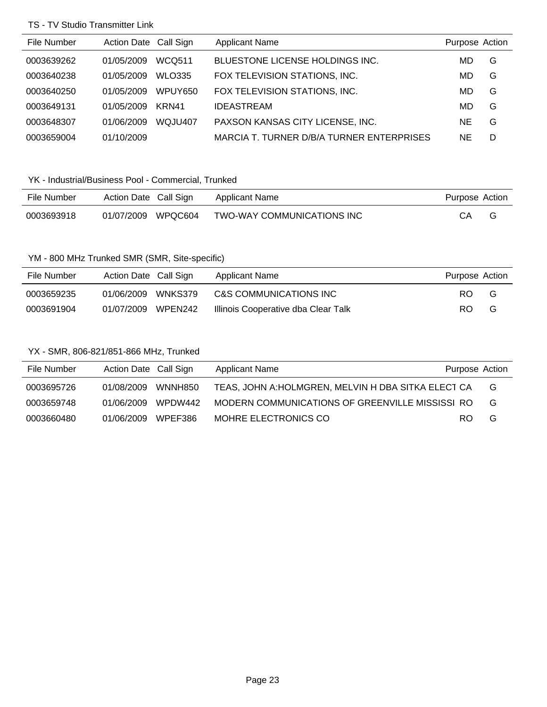### TS - TV Studio Transmitter Link

| File Number | Action Date Call Sign |               | <b>Applicant Name</b>                     | Purpose Action |   |
|-------------|-----------------------|---------------|-------------------------------------------|----------------|---|
| 0003639262  | 01/05/2009            | WCQ511        | BLUESTONE LICENSE HOLDINGS INC.           | MD             | G |
| 0003640238  | 01/05/2009            | <b>WLO335</b> | FOX TELEVISION STATIONS, INC.             | MD             | G |
| 0003640250  | 01/05/2009            | WPUY650       | FOX TELEVISION STATIONS, INC.             | MD             | G |
| 0003649131  | 01/05/2009            | KRN41         | <b>IDEASTREAM</b>                         | MD             | G |
| 0003648307  | 01/06/2009            | WQJU407       | PAXSON KANSAS CITY LICENSE, INC.          | <b>NE</b>      | G |
| 0003659004  | 01/10/2009            |               | MARCIA T. TURNER D/B/A TURNER ENTERPRISES | <b>NE</b>      | D |

# YK - Industrial/Business Pool - Commercial, Trunked

| File Number | Action Date Call Sign |         | Applicant Name             | Purpose Action |  |
|-------------|-----------------------|---------|----------------------------|----------------|--|
| 0003693918  | 01/07/2009            | WPOC604 | TWO-WAY COMMUNICATIONS INC | CА             |  |

## YM - 800 MHz Trunked SMR (SMR, Site-specific)

| File Number | Action Date Call Sign |         | Applicant Name                      | Purpose Action |   |
|-------------|-----------------------|---------|-------------------------------------|----------------|---|
| 0003659235  | 01/06/2009            | WNKS379 | C&S COMMUNICATIONS INC              | RO.            | G |
| 0003691904  | 01/07/2009 WPEN242    |         | Illinois Cooperative dba Clear Talk | RO.            | G |

## YX - SMR, 806-821/851-866 MHz, Trunked

| File Number | Action Date Call Sign | <b>Applicant Name</b>                               | Purpose Action |   |
|-------------|-----------------------|-----------------------------------------------------|----------------|---|
| 0003695726  | 01/08/2009 WNNH850    | TEAS, JOHN A: HOLMGREN, MELVIN H DBA SITKA ELECT CA |                | G |
| 0003659748  | 01/06/2009 WPDW442    | MODERN COMMUNICATIONS OF GREENVILLE MISSISSI RO     |                | G |
| 0003660480  | 01/06/2009 WPEF386    | MOHRE ELECTRONICS CO                                | RO.            | G |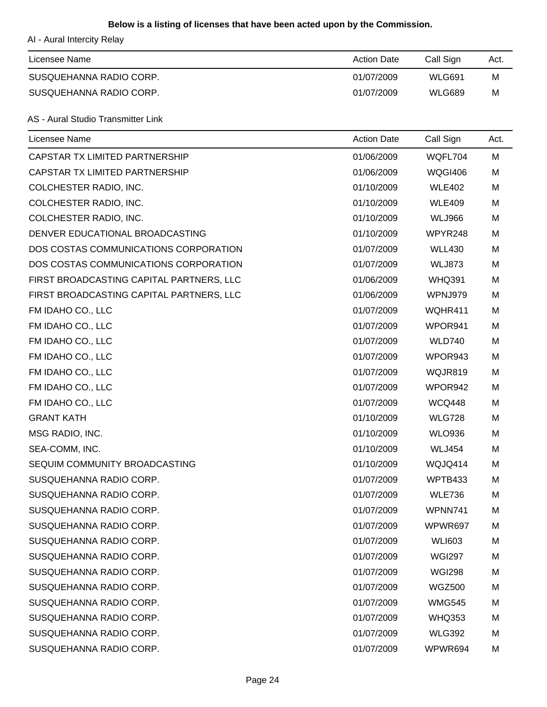### **Below is a listing of licenses that have been acted upon by the Commission.**

AI - Aural Intercity Relay

| Licensee Name           | <b>Action Date</b> | Call Sign     | Act. |
|-------------------------|--------------------|---------------|------|
| SUSQUEHANNA RADIO CORP. | 01/07/2009         | <b>WLG691</b> | м    |
| SUSQUEHANNA RADIO CORP. | 01/07/2009         | WLG689        | M    |

### AS - Aural Studio Transmitter Link

| Licensee Name                            | <b>Action Date</b> | Call Sign      | Act. |
|------------------------------------------|--------------------|----------------|------|
| CAPSTAR TX LIMITED PARTNERSHIP           | 01/06/2009         | WQFL704        | M    |
| CAPSTAR TX LIMITED PARTNERSHIP           | 01/06/2009         | <b>WQGI406</b> | M    |
| COLCHESTER RADIO, INC.                   | 01/10/2009         | <b>WLE402</b>  | M    |
| COLCHESTER RADIO, INC.                   | 01/10/2009         | <b>WLE409</b>  | M    |
| COLCHESTER RADIO, INC.                   | 01/10/2009         | <b>WLJ966</b>  | M    |
| DENVER EDUCATIONAL BROADCASTING          | 01/10/2009         | WPYR248        | M    |
| DOS COSTAS COMMUNICATIONS CORPORATION    | 01/07/2009         | <b>WLL430</b>  | М    |
| DOS COSTAS COMMUNICATIONS CORPORATION    | 01/07/2009         | <b>WLJ873</b>  | М    |
| FIRST BROADCASTING CAPITAL PARTNERS, LLC | 01/06/2009         | <b>WHQ391</b>  | M    |
| FIRST BROADCASTING CAPITAL PARTNERS, LLC | 01/06/2009         | WPNJ979        | М    |
| FM IDAHO CO., LLC                        | 01/07/2009         | WQHR411        | М    |
| FM IDAHO CO., LLC                        | 01/07/2009         | WPOR941        | М    |
| FM IDAHO CO., LLC                        | 01/07/2009         | <b>WLD740</b>  | M    |
| FM IDAHO CO., LLC                        | 01/07/2009         | WPOR943        | M    |
| FM IDAHO CO., LLC                        | 01/07/2009         | WQJR819        | М    |
| FM IDAHO CO., LLC                        | 01/07/2009         | WPOR942        | М    |
| FM IDAHO CO., LLC                        | 01/07/2009         | <b>WCQ448</b>  | M    |
| <b>GRANT KATH</b>                        | 01/10/2009         | <b>WLG728</b>  | M    |
| MSG RADIO, INC.                          | 01/10/2009         | <b>WLO936</b>  | М    |
| SEA-COMM, INC.                           | 01/10/2009         | <b>WLJ454</b>  | M    |
| SEQUIM COMMUNITY BROADCASTING            | 01/10/2009         | WQJQ414        | M    |
| SUSQUEHANNA RADIO CORP.                  | 01/07/2009         | WPTB433        | M    |
| SUSQUEHANNA RADIO CORP.                  | 01/07/2009         | <b>WLE736</b>  | M    |
| SUSQUEHANNA RADIO CORP.                  | 01/07/2009         | WPNN741        | M    |
| SUSQUEHANNA RADIO CORP.                  | 01/07/2009         | WPWR697        | M    |
| SUSQUEHANNA RADIO CORP.                  | 01/07/2009         | <b>WLI603</b>  | M    |
| SUSQUEHANNA RADIO CORP.                  | 01/07/2009         | <b>WGI297</b>  | M    |
| SUSQUEHANNA RADIO CORP.                  | 01/07/2009         | <b>WGI298</b>  | M    |
| SUSQUEHANNA RADIO CORP.                  | 01/07/2009         | <b>WGZ500</b>  | M    |
| SUSQUEHANNA RADIO CORP.                  | 01/07/2009         | <b>WMG545</b>  | M    |
| SUSQUEHANNA RADIO CORP.                  | 01/07/2009         | <b>WHQ353</b>  | M    |
| SUSQUEHANNA RADIO CORP.                  | 01/07/2009         | <b>WLG392</b>  | M    |
| SUSQUEHANNA RADIO CORP.                  | 01/07/2009         | WPWR694        | M    |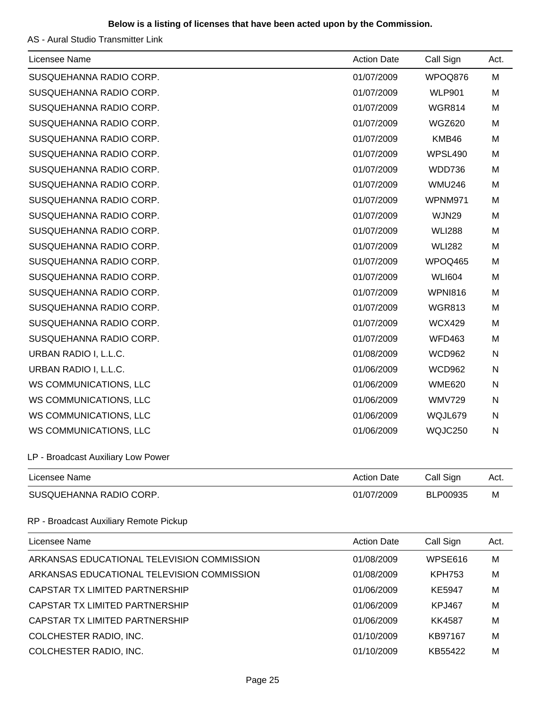## **Below is a listing of licenses that have been acted upon by the Commission.**

AS - Aural Studio Transmitter Link

| Licensee Name                              | <b>Action Date</b> | Call Sign       | Act. |
|--------------------------------------------|--------------------|-----------------|------|
| SUSQUEHANNA RADIO CORP.                    | 01/07/2009         | WPOQ876         | M    |
| SUSQUEHANNA RADIO CORP.                    | 01/07/2009         | <b>WLP901</b>   | M    |
| SUSQUEHANNA RADIO CORP.                    | 01/07/2009         | <b>WGR814</b>   | М    |
| SUSQUEHANNA RADIO CORP.                    | 01/07/2009         | <b>WGZ620</b>   | M    |
| SUSQUEHANNA RADIO CORP.                    | 01/07/2009         | KMB46           | M    |
| SUSQUEHANNA RADIO CORP.                    | 01/07/2009         | WPSL490         | M    |
| SUSQUEHANNA RADIO CORP.                    | 01/07/2009         | WDD736          | M    |
| SUSQUEHANNA RADIO CORP.                    | 01/07/2009         | <b>WMU246</b>   | M    |
| SUSQUEHANNA RADIO CORP.                    | 01/07/2009         | WPNM971         | M    |
| SUSQUEHANNA RADIO CORP.                    | 01/07/2009         | WJN29           | M    |
| SUSQUEHANNA RADIO CORP.                    | 01/07/2009         | <b>WLI288</b>   | M    |
| SUSQUEHANNA RADIO CORP.                    | 01/07/2009         | <b>WLI282</b>   | M    |
| SUSQUEHANNA RADIO CORP.                    | 01/07/2009         | WPOQ465         | M    |
| SUSQUEHANNA RADIO CORP.                    | 01/07/2009         | <b>WLI604</b>   | M    |
| SUSQUEHANNA RADIO CORP.                    | 01/07/2009         | <b>WPNI816</b>  | M    |
| SUSQUEHANNA RADIO CORP.                    | 01/07/2009         | <b>WGR813</b>   | M    |
| SUSQUEHANNA RADIO CORP.                    | 01/07/2009         | <b>WCX429</b>   | M    |
| SUSQUEHANNA RADIO CORP.                    | 01/07/2009         | <b>WFD463</b>   | M    |
| URBAN RADIO I, L.L.C.                      | 01/08/2009         | <b>WCD962</b>   | N    |
| URBAN RADIO I, L.L.C.                      | 01/06/2009         | <b>WCD962</b>   | N    |
| WS COMMUNICATIONS, LLC                     | 01/06/2009         | <b>WME620</b>   | N    |
| WS COMMUNICATIONS, LLC                     | 01/06/2009         | <b>WMV729</b>   | N    |
| WS COMMUNICATIONS, LLC                     | 01/06/2009         | WQJL679         | N    |
| WS COMMUNICATIONS, LLC                     | 01/06/2009         | WQJC250         | N    |
| LP - Broadcast Auxiliary Low Power         |                    |                 |      |
| Licensee Name                              | <b>Action Date</b> | Call Sign       | Act. |
| SUSQUEHANNA RADIO CORP.                    | 01/07/2009         | <b>BLP00935</b> | M    |
| RP - Broadcast Auxiliary Remote Pickup     |                    |                 |      |
| Licensee Name                              | <b>Action Date</b> | Call Sign       | Act. |
| ARKANSAS EDUCATIONAL TELEVISION COMMISSION | 01/08/2009         | WPSE616         | M    |
| ARKANSAS EDUCATIONAL TELEVISION COMMISSION | 01/08/2009         | <b>KPH753</b>   | М    |
| CAPSTAR TX LIMITED PARTNERSHIP             | 01/06/2009         | <b>KE5947</b>   | М    |
| CAPSTAR TX LIMITED PARTNERSHIP             | 01/06/2009         | <b>KPJ467</b>   | М    |
| CAPSTAR TX LIMITED PARTNERSHIP             | 01/06/2009         | <b>KK4587</b>   | M    |
| COLCHESTER RADIO, INC.                     | 01/10/2009         | KB97167         | M    |
| COLCHESTER RADIO, INC.                     | 01/10/2009         | KB55422         | M    |
|                                            |                    |                 |      |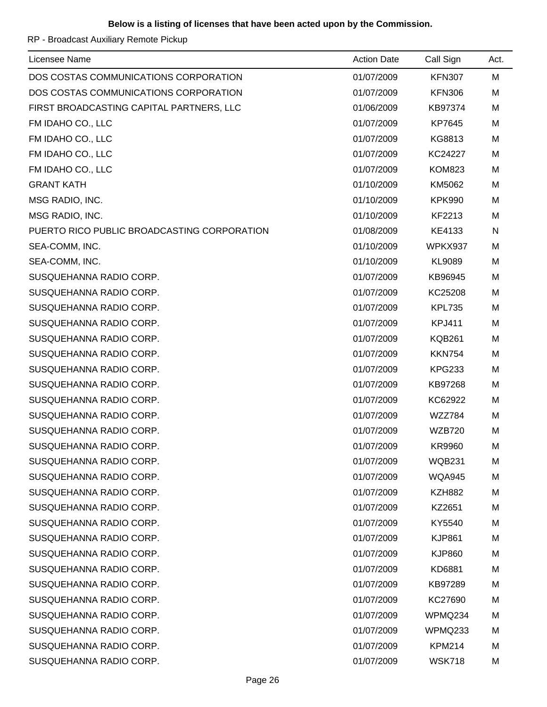RP - Broadcast Auxiliary Remote Pickup

| Licensee Name                               | <b>Action Date</b> | Call Sign     | Act. |
|---------------------------------------------|--------------------|---------------|------|
| DOS COSTAS COMMUNICATIONS CORPORATION       | 01/07/2009         | <b>KFN307</b> | M    |
| DOS COSTAS COMMUNICATIONS CORPORATION       | 01/07/2009         | <b>KFN306</b> | M    |
| FIRST BROADCASTING CAPITAL PARTNERS, LLC    | 01/06/2009         | KB97374       | M    |
| FM IDAHO CO., LLC                           | 01/07/2009         | KP7645        | M    |
| FM IDAHO CO., LLC                           | 01/07/2009         | KG8813        | M    |
| FM IDAHO CO., LLC                           | 01/07/2009         | KC24227       | M    |
| FM IDAHO CO., LLC                           | 01/07/2009         | <b>KOM823</b> | M    |
| <b>GRANT KATH</b>                           | 01/10/2009         | KM5062        | M    |
| MSG RADIO, INC.                             | 01/10/2009         | <b>KPK990</b> | M    |
| MSG RADIO, INC.                             | 01/10/2009         | KF2213        | M    |
| PUERTO RICO PUBLIC BROADCASTING CORPORATION | 01/08/2009         | KE4133        | N    |
| SEA-COMM, INC.                              | 01/10/2009         | WPKX937       | M    |
| SEA-COMM, INC.                              | 01/10/2009         | KL9089        | M    |
| SUSQUEHANNA RADIO CORP.                     | 01/07/2009         | KB96945       | M    |
| SUSQUEHANNA RADIO CORP.                     | 01/07/2009         | KC25208       | M    |
| SUSQUEHANNA RADIO CORP.                     | 01/07/2009         | <b>KPL735</b> | M    |
| SUSQUEHANNA RADIO CORP.                     | 01/07/2009         | <b>KPJ411</b> | M    |
| SUSQUEHANNA RADIO CORP.                     | 01/07/2009         | <b>KQB261</b> | M    |
| SUSQUEHANNA RADIO CORP.                     | 01/07/2009         | <b>KKN754</b> | M    |
| SUSQUEHANNA RADIO CORP.                     | 01/07/2009         | <b>KPG233</b> | M    |
| SUSQUEHANNA RADIO CORP.                     | 01/07/2009         | KB97268       | M    |
| SUSQUEHANNA RADIO CORP.                     | 01/07/2009         | KC62922       | M    |
| SUSQUEHANNA RADIO CORP.                     | 01/07/2009         | WZZ784        | M    |
| SUSQUEHANNA RADIO CORP.                     | 01/07/2009         | <b>WZB720</b> | M    |
| SUSQUEHANNA RADIO CORP.                     | 01/07/2009         | <b>KR9960</b> | M    |
| SUSQUEHANNA RADIO CORP.                     | 01/07/2009         | <b>WQB231</b> | M    |
| SUSQUEHANNA RADIO CORP.                     | 01/07/2009         | <b>WQA945</b> | M    |
| SUSQUEHANNA RADIO CORP.                     | 01/07/2009         | <b>KZH882</b> | M    |
| SUSQUEHANNA RADIO CORP.                     | 01/07/2009         | KZ2651        | M    |
| SUSQUEHANNA RADIO CORP.                     | 01/07/2009         | KY5540        | M    |
| SUSQUEHANNA RADIO CORP.                     | 01/07/2009         | <b>KJP861</b> | M    |
| SUSQUEHANNA RADIO CORP.                     | 01/07/2009         | <b>KJP860</b> | M    |
| SUSQUEHANNA RADIO CORP.                     | 01/07/2009         | KD6881        | M    |
| SUSQUEHANNA RADIO CORP.                     | 01/07/2009         | KB97289       | M    |
| SUSQUEHANNA RADIO CORP.                     | 01/07/2009         | KC27690       | M    |
| SUSQUEHANNA RADIO CORP.                     | 01/07/2009         | WPMQ234       | M    |
| SUSQUEHANNA RADIO CORP.                     | 01/07/2009         | WPMQ233       | M    |
| SUSQUEHANNA RADIO CORP.                     | 01/07/2009         | <b>KPM214</b> | M    |
| SUSQUEHANNA RADIO CORP.                     | 01/07/2009         | <b>WSK718</b> | M    |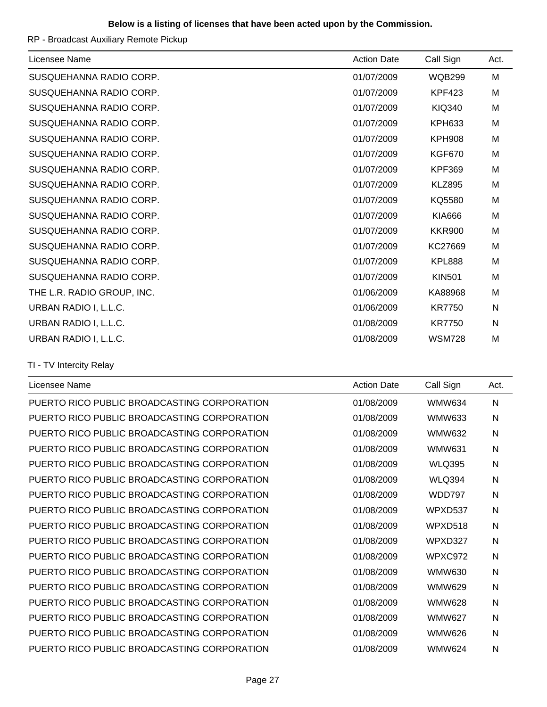### **Below is a listing of licenses that have been acted upon by the Commission.**

RP - Broadcast Auxiliary Remote Pickup

| Licensee Name              | <b>Action Date</b> | Call Sign     | Act. |
|----------------------------|--------------------|---------------|------|
| SUSQUEHANNA RADIO CORP.    | 01/07/2009         | <b>WQB299</b> | М    |
| SUSQUEHANNA RADIO CORP.    | 01/07/2009         | <b>KPF423</b> | M    |
| SUSQUEHANNA RADIO CORP.    | 01/07/2009         | <b>KIQ340</b> | M    |
| SUSQUEHANNA RADIO CORP.    | 01/07/2009         | <b>KPH633</b> | М    |
| SUSQUEHANNA RADIO CORP.    | 01/07/2009         | <b>KPH908</b> | M    |
| SUSQUEHANNA RADIO CORP.    | 01/07/2009         | <b>KGF670</b> | M    |
| SUSQUEHANNA RADIO CORP.    | 01/07/2009         | <b>KPF369</b> | М    |
| SUSQUEHANNA RADIO CORP.    | 01/07/2009         | <b>KLZ895</b> | M    |
| SUSQUEHANNA RADIO CORP.    | 01/07/2009         | KQ5580        | M    |
| SUSQUEHANNA RADIO CORP.    | 01/07/2009         | <b>KIA666</b> | M    |
| SUSQUEHANNA RADIO CORP.    | 01/07/2009         | <b>KKR900</b> | M    |
| SUSQUEHANNA RADIO CORP.    | 01/07/2009         | KC27669       | M    |
| SUSQUEHANNA RADIO CORP.    | 01/07/2009         | <b>KPL888</b> | M    |
| SUSQUEHANNA RADIO CORP.    | 01/07/2009         | <b>KIN501</b> | M    |
| THE L.R. RADIO GROUP, INC. | 01/06/2009         | KA88968       | M    |
| URBAN RADIO I, L.L.C.      | 01/06/2009         | <b>KR7750</b> | N    |
| URBAN RADIO I, L.L.C.      | 01/08/2009         | <b>KR7750</b> | N    |
| URBAN RADIO I, L.L.C.      | 01/08/2009         | <b>WSM728</b> | M    |
|                            |                    |               |      |

TI - TV Intercity Relay

| Licensee Name                               | <b>Action Date</b> | Call Sign     | Act.         |
|---------------------------------------------|--------------------|---------------|--------------|
| PUERTO RICO PUBLIC BROADCASTING CORPORATION | 01/08/2009         | <b>WMW634</b> | $\mathsf{N}$ |
| PUERTO RICO PUBLIC BROADCASTING CORPORATION | 01/08/2009         | <b>WMW633</b> | N            |
| PUERTO RICO PUBLIC BROADCASTING CORPORATION | 01/08/2009         | <b>WMW632</b> | N            |
| PUERTO RICO PUBLIC BROADCASTING CORPORATION | 01/08/2009         | <b>WMW631</b> | N            |
| PUERTO RICO PUBLIC BROADCASTING CORPORATION | 01/08/2009         | <b>WLQ395</b> | N            |
| PUERTO RICO PUBLIC BROADCASTING CORPORATION | 01/08/2009         | <b>WLQ394</b> | N            |
| PUERTO RICO PUBLIC BROADCASTING CORPORATION | 01/08/2009         | <b>WDD797</b> | N            |
| PUERTO RICO PUBLIC BROADCASTING CORPORATION | 01/08/2009         | WPXD537       | N            |
| PUERTO RICO PUBLIC BROADCASTING CORPORATION | 01/08/2009         | WPXD518       | N            |
| PUERTO RICO PUBLIC BROADCASTING CORPORATION | 01/08/2009         | WPXD327       | N            |
| PUERTO RICO PUBLIC BROADCASTING CORPORATION | 01/08/2009         | WPXC972       | N            |
| PUERTO RICO PUBLIC BROADCASTING CORPORATION | 01/08/2009         | <b>WMW630</b> | N            |
| PUERTO RICO PUBLIC BROADCASTING CORPORATION | 01/08/2009         | <b>WMW629</b> | N            |
| PUERTO RICO PUBLIC BROADCASTING CORPORATION | 01/08/2009         | <b>WMW628</b> | N            |
| PUERTO RICO PUBLIC BROADCASTING CORPORATION | 01/08/2009         | <b>WMW627</b> | N            |
| PUERTO RICO PUBLIC BROADCASTING CORPORATION | 01/08/2009         | <b>WMW626</b> | N            |
| PUERTO RICO PUBLIC BROADCASTING CORPORATION | 01/08/2009         | <b>WMW624</b> | N            |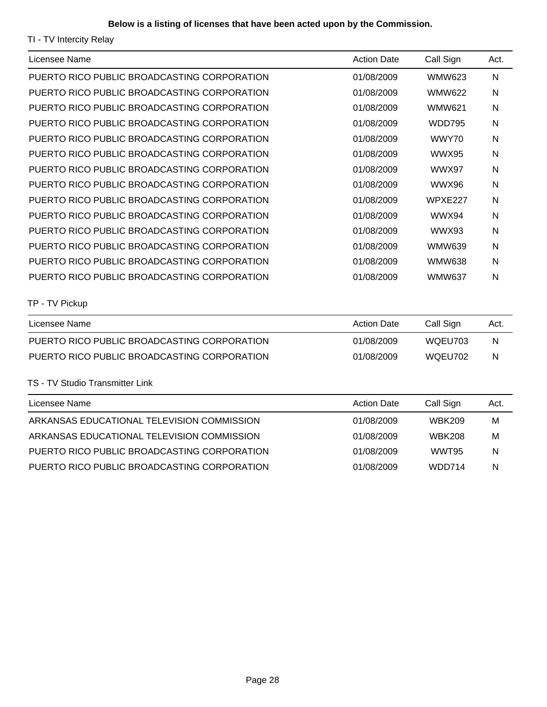TI - TV Intercity Relay

| Licensee Name                               | <b>Action Date</b> | Call Sign      | Act.      |
|---------------------------------------------|--------------------|----------------|-----------|
| PUERTO RICO PUBLIC BROADCASTING CORPORATION | 01/08/2009         | <b>WMW623</b>  | N         |
| PUERTO RICO PUBLIC BROADCASTING CORPORATION | 01/08/2009         | <b>WMW622</b>  | N         |
| PUERTO RICO PUBLIC BROADCASTING CORPORATION | 01/08/2009         | <b>WMW621</b>  | N         |
| PUERTO RICO PUBLIC BROADCASTING CORPORATION | 01/08/2009         | <b>WDD795</b>  | N         |
| PUERTO RICO PUBLIC BROADCASTING CORPORATION | 01/08/2009         | WWY70          | N         |
| PUERTO RICO PUBLIC BROADCASTING CORPORATION | 01/08/2009         | WWX95          | N         |
| PUERTO RICO PUBLIC BROADCASTING CORPORATION | 01/08/2009         | WWX97          | N         |
| PUERTO RICO PUBLIC BROADCASTING CORPORATION | 01/08/2009         | <b>WWX96</b>   | ${\sf N}$ |
| PUERTO RICO PUBLIC BROADCASTING CORPORATION | 01/08/2009         | <b>WPXE227</b> | N         |
| PUERTO RICO PUBLIC BROADCASTING CORPORATION | 01/08/2009         | WWX94          | N         |
| PUERTO RICO PUBLIC BROADCASTING CORPORATION | 01/08/2009         | WWX93          | N         |
| PUERTO RICO PUBLIC BROADCASTING CORPORATION | 01/08/2009         | <b>WMW639</b>  | N         |
| PUERTO RICO PUBLIC BROADCASTING CORPORATION | 01/08/2009         | <b>WMW638</b>  | N         |
| PUERTO RICO PUBLIC BROADCASTING CORPORATION | 01/08/2009         | <b>WMW637</b>  | N         |
| TP - TV Pickup                              |                    |                |           |
| Licensee Name                               | <b>Action Date</b> | Call Sign      | Act.      |
| PUERTO RICO PUBLIC BROADCASTING CORPORATION | 01/08/2009         | WQEU703        | N         |

### TS - TV Studio Transmitter Link

| Licensee Name                               | <b>Action Date</b> | Call Sign     | Act. |
|---------------------------------------------|--------------------|---------------|------|
| ARKANSAS EDUCATIONAL TELEVISION COMMISSION  | 01/08/2009         | <b>WBK209</b> | м    |
| ARKANSAS EDUCATIONAL TELEVISION COMMISSION  | 01/08/2009         | <b>WBK208</b> | M    |
| PUERTO RICO PUBLIC BROADCASTING CORPORATION | 01/08/2009         | WWT95         | N    |
| PUERTO RICO PUBLIC BROADCASTING CORPORATION | 01/08/2009         | WDD714        | N    |

PUERTO RICO PUBLIC BROADCASTING CORPORATION 01/08/2009 WQEU702 N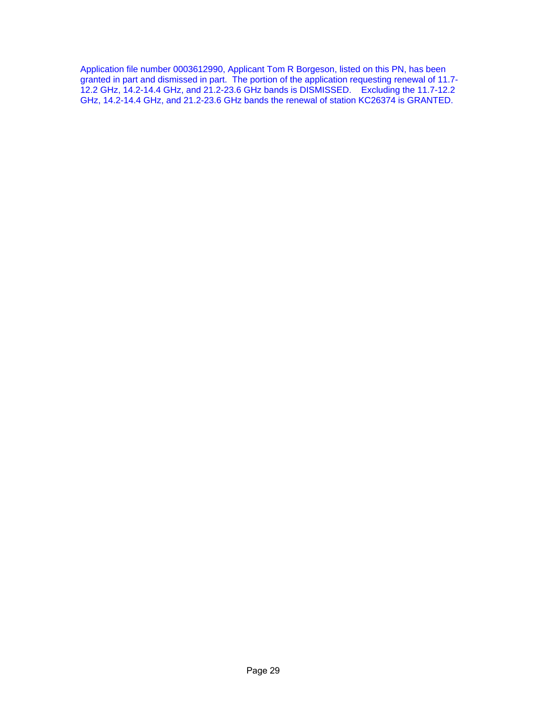Application file number 0003612990, Applicant Tom R Borgeson, listed on this PN, has been granted in part and dismissed in part. The portion of the application requesting renewal of 11.7- 12.2 GHz, 14.2-14.4 GHz, and 21.2-23.6 GHz bands is DISMISSED. Excluding the 11.7-12.2 GHz, 14.2-14.4 GHz, and 21.2-23.6 GHz bands the renewal of station KC26374 is GRANTED.